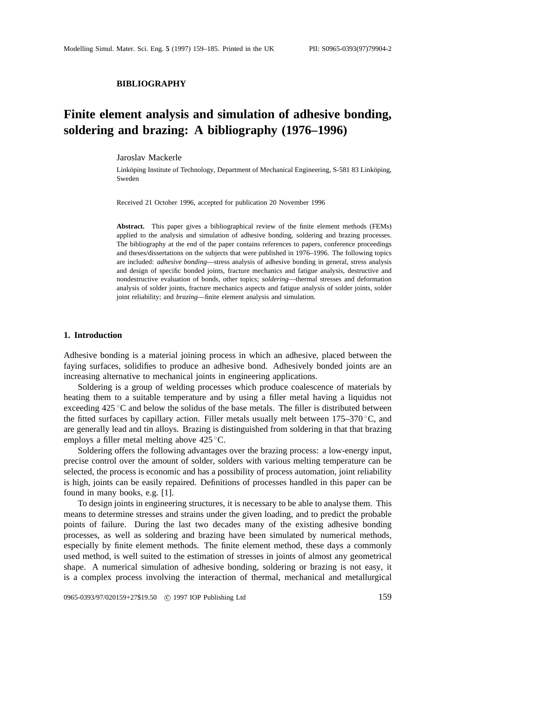#### **BIBLIOGRAPHY**

# **Finite element analysis and simulation of adhesive bonding, soldering and brazing: A bibliography (1976–1996)**

# Jaroslav Mackerle

Linköping Institute of Technology, Department of Mechanical Engineering, S-581 83 Linköping, Sweden

Received 21 October 1996, accepted for publication 20 November 1996

**Abstract.** This paper gives a bibliographical review of the finite element methods (FEMs) applied to the analysis and simulation of adhesive bonding, soldering and brazing processes. The bibliography at the end of the paper contains references to papers, conference proceedings and theses/dissertations on the subjects that were published in 1976–1996. The following topics are included: *adhesive bonding*—stress analysis of adhesive bonding in general, stress analysis and design of specific bonded joints, fracture mechanics and fatigue analysis, destructive and nondestructive evaluation of bonds, other topics; *soldering*—thermal stresses and deformation analysis of solder joints, fracture mechanics aspects and fatigue analysis of solder joints, solder joint reliability; and *brazing*—finite element analysis and simulation.

## **1. Introduction**

Adhesive bonding is a material joining process in which an adhesive, placed between the faying surfaces, solidifies to produce an adhesive bond. Adhesively bonded joints are an increasing alternative to mechanical joints in engineering applications.

Soldering is a group of welding processes which produce coalescence of materials by heating them to a suitable temperature and by using a filler metal having a liquidus not exceeding 425 ◦C and below the solidus of the base metals. The filler is distributed between the fitted surfaces by capillary action. Filler metals usually melt between  $175-370$  °C, and are generally lead and tin alloys. Brazing is distinguished from soldering in that that brazing employs a filler metal melting above 425 ◦C.

Soldering offers the following advantages over the brazing process: a low-energy input, precise control over the amount of solder, solders with various melting temperature can be selected, the process is economic and has a possibility of process automation, joint reliability is high, joints can be easily repaired. Definitions of processes handled in this paper can be found in many books, e.g. [1].

To design joints in engineering structures, it is necessary to be able to analyse them. This means to determine stresses and strains under the given loading, and to predict the probable points of failure. During the last two decades many of the existing adhesive bonding processes, as well as soldering and brazing have been simulated by numerical methods, especially by finite element methods. The finite element method, these days a commonly used method, is well suited to the estimation of stresses in joints of almost any geometrical shape. A numerical simulation of adhesive bonding, soldering or brazing is not easy, it is a complex process involving the interaction of thermal, mechanical and metallurgical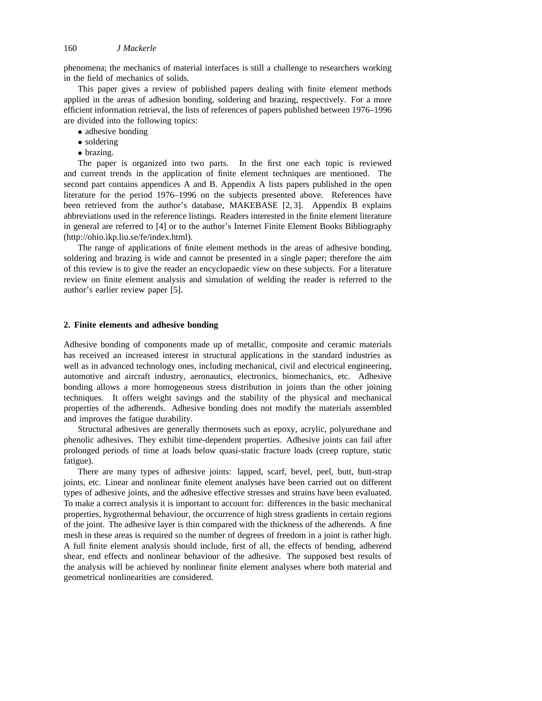phenomena; the mechanics of material interfaces is still a challenge to researchers working in the field of mechanics of solids.

This paper gives a review of published papers dealing with finite element methods applied in the areas of adhesion bonding, soldering and brazing, respectively. For a more efficient information retrieval, the lists of references of papers published between 1976–1996 are divided into the following topics:

- adhesive bonding
- soldering
- brazing.

The paper is organized into two parts. In the first one each topic is reviewed and current trends in the application of finite element techniques are mentioned. The second part contains appendices A and B. Appendix A lists papers published in the open literature for the period 1976–1996 on the subjects presented above. References have been retrieved from the author's database, MAKEBASE [2, 3]. Appendix B explains abbreviations used in the reference listings. Readers interested in the finite element literature in general are referred to [4] or to the author's Internet Finite Element Books Bibliography (http://ohio.ikp.liu.se/fe/index.html).

The range of applications of finite element methods in the areas of adhesive bonding, soldering and brazing is wide and cannot be presented in a single paper; therefore the aim of this review is to give the reader an encyclopaedic view on these subjects. For a literature review on finite element analysis and simulation of welding the reader is referred to the author's earlier review paper [5].

# **2. Finite elements and adhesive bonding**

Adhesive bonding of components made up of metallic, composite and ceramic materials has received an increased interest in structural applications in the standard industries as well as in advanced technology ones, including mechanical, civil and electrical engineering, automotive and aircraft industry, aeronautics, electronics, biomechanics, etc. Adhesive bonding allows a more homogeneous stress distribution in joints than the other joining techniques. It offers weight savings and the stability of the physical and mechanical properties of the adherends. Adhesive bonding does not modify the materials assembled and improves the fatigue durability.

Structural adhesives are generally thermosets such as epoxy, acrylic, polyurethane and phenolic adhesives. They exhibit time-dependent properties. Adhesive joints can fail after prolonged periods of time at loads below quasi-static fracture loads (creep rupture, static fatigue).

There are many types of adhesive joints: lapped, scarf, bevel, peel, butt, butt-strap joints, etc. Linear and nonlinear finite element analyses have been carried out on different types of adhesive joints, and the adhesive effective stresses and strains have been evaluated. To make a correct analysis it is important to account for: differences in the basic mechanical properties, hygrothermal behaviour, the occurrence of high stress gradients in certain regions of the joint. The adhesive layer is thin compared with the thickness of the adherends. A fine mesh in these areas is required so the number of degrees of freedom in a joint is rather high. A full finite element analysis should include, first of all, the effects of bending, adherend shear, end effects and nonlinear behaviour of the adhesive. The supposed best results of the analysis will be achieved by nonlinear finite element analyses where both material and geometrical nonlinearities are considered.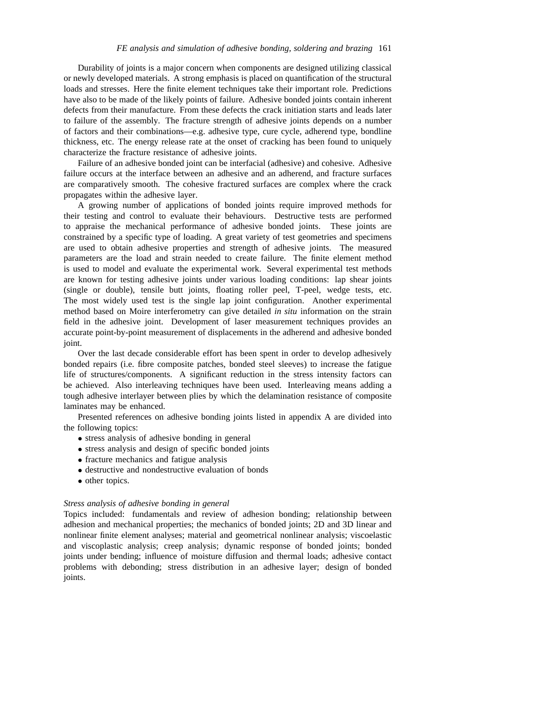Durability of joints is a major concern when components are designed utilizing classical or newly developed materials. A strong emphasis is placed on quantification of the structural loads and stresses. Here the finite element techniques take their important role. Predictions have also to be made of the likely points of failure. Adhesive bonded joints contain inherent defects from their manufacture. From these defects the crack initiation starts and leads later to failure of the assembly. The fracture strength of adhesive joints depends on a number of factors and their combinations—e.g. adhesive type, cure cycle, adherend type, bondline thickness, etc. The energy release rate at the onset of cracking has been found to uniquely characterize the fracture resistance of adhesive joints.

Failure of an adhesive bonded joint can be interfacial (adhesive) and cohesive. Adhesive failure occurs at the interface between an adhesive and an adherend, and fracture surfaces are comparatively smooth. The cohesive fractured surfaces are complex where the crack propagates within the adhesive layer.

A growing number of applications of bonded joints require improved methods for their testing and control to evaluate their behaviours. Destructive tests are performed to appraise the mechanical performance of adhesive bonded joints. These joints are constrained by a specific type of loading. A great variety of test geometries and specimens are used to obtain adhesive properties and strength of adhesive joints. The measured parameters are the load and strain needed to create failure. The finite element method is used to model and evaluate the experimental work. Several experimental test methods are known for testing adhesive joints under various loading conditions: lap shear joints (single or double), tensile butt joints, floating roller peel, T-peel, wedge tests, etc. The most widely used test is the single lap joint configuration. Another experimental method based on Moire interferometry can give detailed *in situ* information on the strain field in the adhesive joint. Development of laser measurement techniques provides an accurate point-by-point measurement of displacements in the adherend and adhesive bonded joint.

Over the last decade considerable effort has been spent in order to develop adhesively bonded repairs (i.e. fibre composite patches, bonded steel sleeves) to increase the fatigue life of structures/components. A significant reduction in the stress intensity factors can be achieved. Also interleaving techniques have been used. Interleaving means adding a tough adhesive interlayer between plies by which the delamination resistance of composite laminates may be enhanced.

Presented references on adhesive bonding joints listed in appendix A are divided into the following topics:

- stress analysis of adhesive bonding in general
- stress analysis and design of specific bonded joints
- fracture mechanics and fatigue analysis
- destructive and nondestructive evaluation of bonds
- other topics.

#### *Stress analysis of adhesive bonding in general*

Topics included: fundamentals and review of adhesion bonding; relationship between adhesion and mechanical properties; the mechanics of bonded joints; 2D and 3D linear and nonlinear finite element analyses; material and geometrical nonlinear analysis; viscoelastic and viscoplastic analysis; creep analysis; dynamic response of bonded joints; bonded joints under bending; influence of moisture diffusion and thermal loads; adhesive contact problems with debonding; stress distribution in an adhesive layer; design of bonded joints.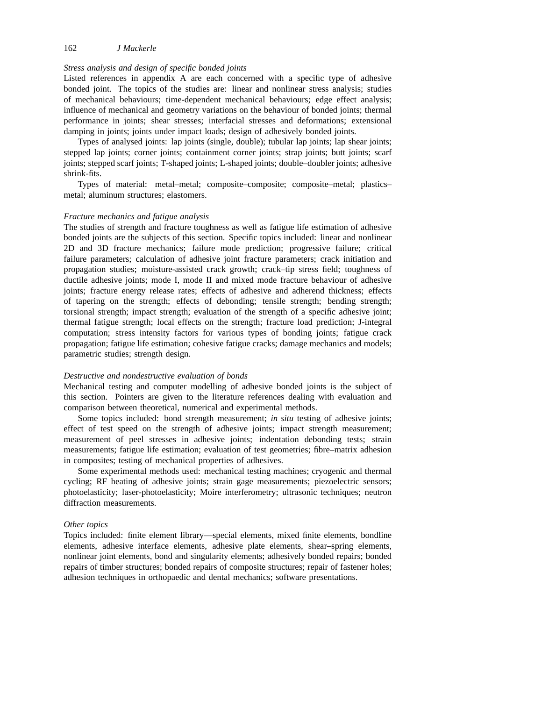# *Stress analysis and design of specific bonded joints*

Listed references in appendix A are each concerned with a specific type of adhesive bonded joint. The topics of the studies are: linear and nonlinear stress analysis; studies of mechanical behaviours; time-dependent mechanical behaviours; edge effect analysis; influence of mechanical and geometry variations on the behaviour of bonded joints; thermal performance in joints; shear stresses; interfacial stresses and deformations; extensional damping in joints; joints under impact loads; design of adhesively bonded joints.

Types of analysed joints: lap joints (single, double); tubular lap joints; lap shear joints; stepped lap joints; corner joints; containment corner joints; strap joints; butt joints; scarf joints; stepped scarf joints; T-shaped joints; L-shaped joints; double–doubler joints; adhesive shrink-fits.

Types of material: metal–metal; composite–composite; composite–metal; plastics– metal; aluminum structures; elastomers.

#### *Fracture mechanics and fatigue analysis*

The studies of strength and fracture toughness as well as fatigue life estimation of adhesive bonded joints are the subjects of this section. Specific topics included: linear and nonlinear 2D and 3D fracture mechanics; failure mode prediction; progressive failure; critical failure parameters; calculation of adhesive joint fracture parameters; crack initiation and propagation studies; moisture-assisted crack growth; crack–tip stress field; toughness of ductile adhesive joints; mode I, mode II and mixed mode fracture behaviour of adhesive joints; fracture energy release rates; effects of adhesive and adherend thickness; effects of tapering on the strength; effects of debonding; tensile strength; bending strength; torsional strength; impact strength; evaluation of the strength of a specific adhesive joint; thermal fatigue strength; local effects on the strength; fracture load prediction; J-integral computation; stress intensity factors for various types of bonding joints; fatigue crack propagation; fatigue life estimation; cohesive fatigue cracks; damage mechanics and models; parametric studies; strength design.

#### *Destructive and nondestructive evaluation of bonds*

Mechanical testing and computer modelling of adhesive bonded joints is the subject of this section. Pointers are given to the literature references dealing with evaluation and comparison between theoretical, numerical and experimental methods.

Some topics included: bond strength measurement; *in situ* testing of adhesive joints; effect of test speed on the strength of adhesive joints; impact strength measurement; measurement of peel stresses in adhesive joints; indentation debonding tests; strain measurements; fatigue life estimation; evaluation of test geometries; fibre–matrix adhesion in composites; testing of mechanical properties of adhesives.

Some experimental methods used: mechanical testing machines; cryogenic and thermal cycling; RF heating of adhesive joints; strain gage measurements; piezoelectric sensors; photoelasticity; laser-photoelasticity; Moire interferometry; ultrasonic techniques; neutron diffraction measurements.

#### *Other topics*

Topics included: finite element library—special elements, mixed finite elements, bondline elements, adhesive interface elements, adhesive plate elements, shear–spring elements, nonlinear joint elements, bond and singularity elements; adhesively bonded repairs; bonded repairs of timber structures; bonded repairs of composite structures; repair of fastener holes; adhesion techniques in orthopaedic and dental mechanics; software presentations.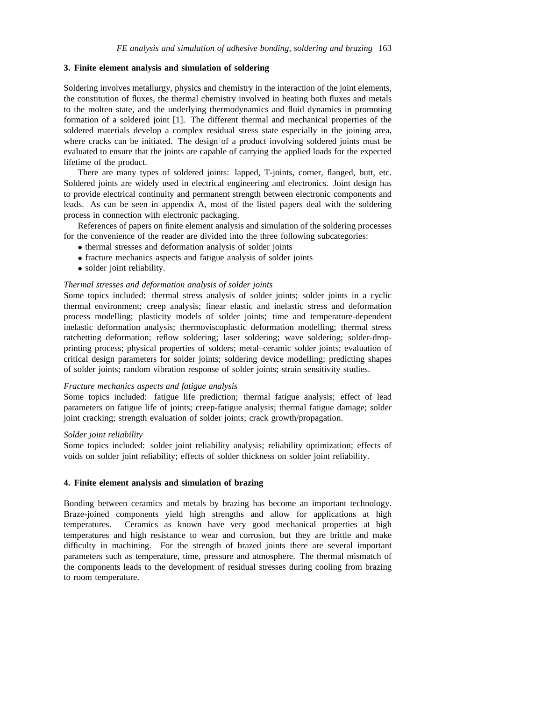# **3. Finite element analysis and simulation of soldering**

Soldering involves metallurgy, physics and chemistry in the interaction of the joint elements, the constitution of fluxes, the thermal chemistry involved in heating both fluxes and metals to the molten state, and the underlying thermodynamics and fluid dynamics in promoting formation of a soldered joint [1]. The different thermal and mechanical properties of the soldered materials develop a complex residual stress state especially in the joining area, where cracks can be initiated. The design of a product involving soldered joints must be evaluated to ensure that the joints are capable of carrying the applied loads for the expected lifetime of the product.

There are many types of soldered joints: lapped, T-joints, corner, flanged, butt, etc. Soldered joints are widely used in electrical engineering and electronics. Joint design has to provide electrical continuity and permanent strength between electronic components and leads. As can be seen in appendix A, most of the listed papers deal with the soldering process in connection with electronic packaging.

References of papers on finite element analysis and simulation of the soldering processes for the convenience of the reader are divided into the three following subcategories:

- thermal stresses and deformation analysis of solder joints
- fracture mechanics aspects and fatigue analysis of solder joints
- solder joint reliability.

# *Thermal stresses and deformation analysis of solder joints*

Some topics included: thermal stress analysis of solder joints; solder joints in a cyclic thermal environment; creep analysis; linear elastic and inelastic stress and deformation process modelling; plasticity models of solder joints; time and temperature-dependent inelastic deformation analysis; thermoviscoplastic deformation modelling; thermal stress ratchetting deformation; reflow soldering; laser soldering; wave soldering; solder-dropprinting process; physical properties of solders; metal–ceramic solder joints; evaluation of critical design parameters for solder joints; soldering device modelling; predicting shapes of solder joints; random vibration response of solder joints; strain sensitivity studies.

# *Fracture mechanics aspects and fatigue analysis*

Some topics included: fatigue life prediction; thermal fatigue analysis; effect of lead parameters on fatigue life of joints; creep-fatigue analysis; thermal fatigue damage; solder joint cracking; strength evaluation of solder joints; crack growth/propagation.

# *Solder joint reliability*

Some topics included: solder joint reliability analysis; reliability optimization; effects of voids on solder joint reliability; effects of solder thickness on solder joint reliability.

# **4. Finite element analysis and simulation of brazing**

Bonding between ceramics and metals by brazing has become an important technology. Braze-joined components yield high strengths and allow for applications at high temperatures. Ceramics as known have very good mechanical properties at high temperatures and high resistance to wear and corrosion, but they are brittle and make difficulty in machining. For the strength of brazed joints there are several important parameters such as temperature, time, pressure and atmosphere. The thermal mismatch of the components leads to the development of residual stresses during cooling from brazing to room temperature.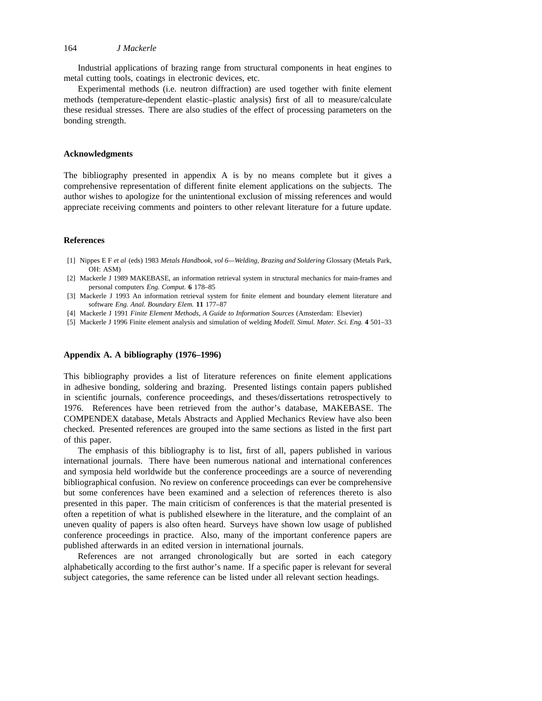Industrial applications of brazing range from structural components in heat engines to metal cutting tools, coatings in electronic devices, etc.

Experimental methods (i.e. neutron diffraction) are used together with finite element methods (temperature-dependent elastic–plastic analysis) first of all to measure/calculate these residual stresses. There are also studies of the effect of processing parameters on the bonding strength.

#### **Acknowledgments**

The bibliography presented in appendix A is by no means complete but it gives a comprehensive representation of different finite element applications on the subjects. The author wishes to apologize for the unintentional exclusion of missing references and would appreciate receiving comments and pointers to other relevant literature for a future update.

## **References**

- [1] Nippes E F *et al* (eds) 1983 *Metals Handbook, vol 6—Welding, Brazing and Soldering* Glossary (Metals Park, OH: ASM)
- [2] Mackerle J 1989 MAKEBASE, an information retrieval system in structural mechanics for main-frames and personal computers *Eng. Comput.* **6** 178–85
- [3] Mackerle J 1993 An information retrieval system for finite element and boundary element literature and software *Eng. Anal. Boundary Elem.* **11** 177–87
- [4] Mackerle J 1991 *Finite Element Methods, A Guide to Information Sources* (Amsterdam: Elsevier)
- [5] Mackerle J 1996 Finite element analysis and simulation of welding *Modell. Simul. Mater. Sci. Eng.* **4** 501–33

# **Appendix A. A bibliography (1976–1996)**

This bibliography provides a list of literature references on finite element applications in adhesive bonding, soldering and brazing. Presented listings contain papers published in scientific journals, conference proceedings, and theses/dissertations retrospectively to 1976. References have been retrieved from the author's database, MAKEBASE. The COMPENDEX database, Metals Abstracts and Applied Mechanics Review have also been checked. Presented references are grouped into the same sections as listed in the first part of this paper.

The emphasis of this bibliography is to list, first of all, papers published in various international journals. There have been numerous national and international conferences and symposia held worldwide but the conference proceedings are a source of neverending bibliographical confusion. No review on conference proceedings can ever be comprehensive but some conferences have been examined and a selection of references thereto is also presented in this paper. The main criticism of conferences is that the material presented is often a repetition of what is published elsewhere in the literature, and the complaint of an uneven quality of papers is also often heard. Surveys have shown low usage of published conference proceedings in practice. Also, many of the important conference papers are published afterwards in an edited version in international journals.

References are not arranged chronologically but are sorted in each category alphabetically according to the first author's name. If a specific paper is relevant for several subject categories, the same reference can be listed under all relevant section headings.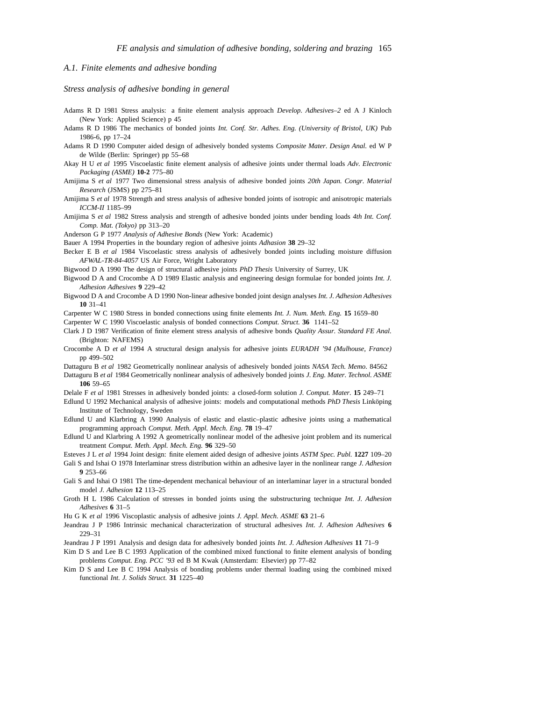# *A.1. Finite elements and adhesive bonding*

*Stress analysis of adhesive bonding in general*

- Adams R D 1981 Stress analysis: a finite element analysis approach *Develop. Adhesives–2* ed A J Kinloch (New York: Applied Science) p 45
- Adams R D 1986 The mechanics of bonded joints *Int. Conf. Str. Adhes. Eng. (University of Bristol, UK)* Pub 1986-6, pp 17–24
- Adams R D 1990 Computer aided design of adhesively bonded systems *Composite Mater. Design Anal.* ed W P de Wilde (Berlin: Springer) pp 55–68
- Akay H U *et al* 1995 Viscoelastic finite element analysis of adhesive joints under thermal loads *Adv. Electronic Packaging (ASME)* **10-2** 775–80
- Amijima S *et al* 1977 Two dimensional stress analysis of adhesive bonded joints *20th Japan. Congr. Material Research* (JSMS) pp 275–81
- Amijima S *et al* 1978 Strength and stress analysis of adhesive bonded joints of isotropic and anisotropic materials *ICCM-II* 1185–99
- Amijima S *et al* 1982 Stress analysis and strength of adhesive bonded joints under bending loads *4th Int. Conf. Comp. Mat. (Tokyo)* pp 313–20
- Anderson G P 1977 *Analysis of Adhesive Bonds* (New York: Academic)
- Bauer A 1994 Properties in the boundary region of adhesive joints *Adhasion* **38** 29–32
- Becker E B *et al* 1984 Viscoelastic stress analysis of adhesively bonded joints including moisture diffusion *AFWAL-TR-84-4057* US Air Force, Wright Laboratory
- Bigwood D A 1990 The design of structural adhesive joints *PhD Thesis* University of Surrey, UK
- Bigwood D A and Crocombe A D 1989 Elastic analysis and engineering design formulae for bonded joints *Int. J. Adhesion Adhesives* **9** 229–42
- Bigwood D A and Crocombe A D 1990 Non-linear adhesive bonded joint design analyses *Int. J. Adhesion Adhesives* **10** 31–41
- Carpenter W C 1980 Stress in bonded connections using finite elements *Int. J. Num. Meth. Eng.* **15** 1659–80

Carpenter W C 1990 Viscoelastic analysis of bonded connections *Comput. Struct.* **36** 1141–52

- Clark J D 1987 Verification of finite element stress analysis of adhesive bonds *Quality Assur. Standard FE Anal.* (Brighton: NAFEMS)
- Crocombe A D *et al* 1994 A structural design analysis for adhesive joints *EURADH '94 (Mulhouse, France)* pp 499–502
- Dattaguru B *et al* 1982 Geometrically nonlinear analysis of adhesively bonded joints *NASA Tech. Memo.* 84562
- Dattaguru B *et al* 1984 Geometrically nonlinear analysis of adhesively bonded joints *J. Eng. Mater. Technol. ASME* **106** 59–65
- Delale F *et al* 1981 Stresses in adhesively bonded joints: a closed-form solution *J. Comput. Mater.* **15** 249–71
- Edlund U 1992 Mechanical analysis of adhesive joints: models and computational methods *PhD Thesis* Linkoping Institute of Technology, Sweden
- Edlund U and Klarbring A 1990 Analysis of elastic and elastic–plastic adhesive joints using a mathematical programming approach *Comput. Meth. Appl. Mech. Eng.* **78** 19–47
- Edlund U and Klarbring A 1992 A geometrically nonlinear model of the adhesive joint problem and its numerical treatment *Comput. Meth. Appl. Mech. Eng.* **96** 329–50

Esteves J L *et al* 1994 Joint design: finite element aided design of adhesive joints *ASTM Spec. Publ.* **1227** 109–20

- Gali S and Ishai O 1978 Interlaminar stress distribution within an adhesive layer in the nonlinear range *J. Adhesion* **9** 253–66
- Gali S and Ishai O 1981 The time-dependent mechanical behaviour of an interlaminar layer in a structural bonded model *J. Adhesion* **12** 113–25
- Groth H L 1986 Calculation of stresses in bonded joints using the substructuring technique *Int. J. Adhesion Adhesives* **6** 31–5
- Hu G K *et al* 1996 Viscoplastic analysis of adhesive joints *J. Appl. Mech. ASME* **63** 21–6
- Jeandrau J P 1986 Intrinsic mechanical characterization of structural adhesives *Int. J. Adhesion Adhesives* **6** 229–31
- Jeandrau J P 1991 Analysis and design data for adhesively bonded joints *Int. J. Adhesion Adhesives* **11** 71–9
- Kim D S and Lee B C 1993 Application of the combined mixed functional to finite element analysis of bonding problems *Comput. Eng. PCC '93* ed B M Kwak (Amsterdam: Elsevier) pp 77–82
- Kim D S and Lee B C 1994 Analysis of bonding problems under thermal loading using the combined mixed functional *Int. J. Solids Struct.* **31** 1225–40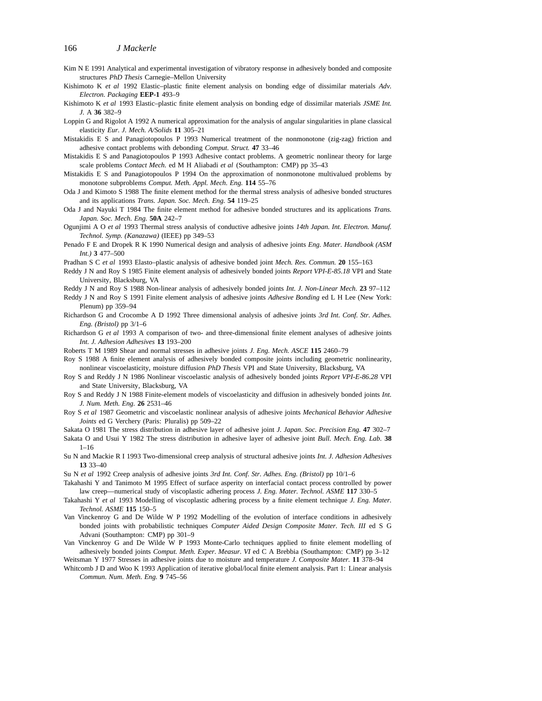- Kim N E 1991 Analytical and experimental investigation of vibratory response in adhesively bonded and composite structures *PhD Thesis* Carnegie–Mellon University
- Kishimoto K *et al* 1992 Elastic–plastic finite element analysis on bonding edge of dissimilar materials *Adv. Electron. Packaging* **EEP-1** 493–9
- Kishimoto K *et al* 1993 Elastic–plastic finite element analysis on bonding edge of dissimilar materials *JSME Int. J.* A **36** 382–9
- Loppin G and Rigolot A 1992 A numerical approximation for the analysis of angular singularities in plane classical elasticity *Eur. J. Mech. A/Solids* **11** 305–21
- Mistakidis E S and Panagiotopoulos P 1993 Numerical treatment of the nonmonotone (zig-zag) friction and adhesive contact problems with debonding *Comput. Struct.* **47** 33–46
- Mistakidis E S and Panagiotopoulos P 1993 Adhesive contact problems. A geometric nonlinear theory for large scale problems *Contact Mech.* ed M H Aliabadi *et al* (Southampton: CMP) pp 35–43
- Mistakidis E S and Panagiotopoulos P 1994 On the approximation of nonmonotone multivalued problems by monotone subproblems *Comput. Meth. Appl. Mech. Eng.* **114** 55–76
- Oda J and Kimoto S 1988 The finite element method for the thermal stress analysis of adhesive bonded structures and its applications *Trans. Japan. Soc. Mech. Eng.* **54** 119–25
- Oda J and Nayuki T 1984 The finite element method for adhesive bonded structures and its applications *Trans. Japan. Soc. Mech. Eng.* **50A** 242–7
- Ogunjimi A O *et al* 1993 Thermal stress analysis of conductive adhesive joints *14th Japan. Int. Electron. Manuf. Technol. Symp. (Kanazawa)* (IEEE) pp 349–53
- Penado F E and Dropek R K 1990 Numerical design and analysis of adhesive joints *Eng. Mater. Handbook (ASM Int.)* **3** 477–500
- Pradhan S C *et al* 1993 Elasto–plastic analysis of adhesive bonded joint *Mech. Res. Commun.* **20** 155–163
- Reddy J N and Roy S 1985 Finite element analysis of adhesively bonded joints *Report VPI-E-85.18* VPI and State University, Blacksburg, VA
- Reddy J N and Roy S 1988 Non-linear analysis of adhesively bonded joints *Int. J. Non-Linear Mech.* **23** 97–112 Reddy J N and Roy S 1991 Finite element analysis of adhesive joints *Adhesive Bonding* ed L H Lee (New York: Plenum) pp 359–94
- Richardson G and Crocombe A D 1992 Three dimensional analysis of adhesive joints *3rd Int. Conf. Str. Adhes. Eng. (Bristol)* pp 3/1–6
- Richardson G *et al* 1993 A comparison of two- and three-dimensional finite element analyses of adhesive joints *Int. J. Adhesion Adhesives* **13** 193–200
- Roberts T M 1989 Shear and normal stresses in adhesive joints *J. Eng. Mech. ASCE* **115** 2460–79
- Roy S 1988 A finite element analysis of adhesively bonded composite joints including geometric nonlinearity, nonlinear viscoelasticity, moisture diffusion *PhD Thesis* VPI and State University, Blacksburg, VA
- Roy S and Reddy J N 1986 Nonlinear viscoelastic analysis of adhesively bonded joints *Report VPI-E-86.28* VPI and State University, Blacksburg, VA
- Roy S and Reddy J N 1988 Finite-element models of viscoelasticity and diffusion in adhesively bonded joints *Int. J. Num. Meth. Eng.* **26** 2531–46
- Roy S *et al* 1987 Geometric and viscoelastic nonlinear analysis of adhesive joints *Mechanical Behavior Adhesive Joints* ed G Verchery (Paris: Pluralis) pp 509–22
- Sakata O 1981 The stress distribution in adhesive layer of adhesive joint *J. Japan. Soc. Precision Eng.* **47** 302–7
- Sakata O and Usui Y 1982 The stress distribution in adhesive layer of adhesive joint *Bull. Mech. Eng. Lab.* **38** 1–16
- Su N and Mackie R I 1993 Two-dimensional creep analysis of structural adhesive joints *Int. J. Adhesion Adhesives* **13** 33–40
- Su N *et al* 1992 Creep analysis of adhesive joints *3rd Int. Conf. Str. Adhes. Eng. (Bristol)* pp 10/1–6
- Takahashi Y and Tanimoto M 1995 Effect of surface asperity on interfacial contact process controlled by power law creep—numerical study of viscoplastic adhering process *J. Eng. Mater. Technol. ASME* **117** 330–5
- Takahashi Y *et al* 1993 Modelling of viscoplastic adhering process by a finite element technique *J. Eng. Mater. Technol. ASME* **115** 150–5
- Van Vinckenroy G and De Wilde W P 1992 Modelling of the evolution of interface conditions in adhesively bonded joints with probabilistic techniques *Computer Aided Design Composite Mater. Tech. III* ed S G Advani (Southampton: CMP) pp 301–9
- Van Vinckenroy G and De Wilde W P 1993 Monte-Carlo techniques applied to finite element modelling of adhesively bonded joints *Comput. Meth. Exper. Measur. VI* ed C A Brebbia (Southampton: CMP) pp 3–12 Weitsman Y 1977 Stresses in adhesive joints due to moisture and temperature *J. Composite Mater.* **11** 378–94
- Whitcomb J D and Woo K 1993 Application of iterative global/local finite element analysis. Part 1: Linear analysis *Commun. Num. Meth. Eng.* **9** 745–56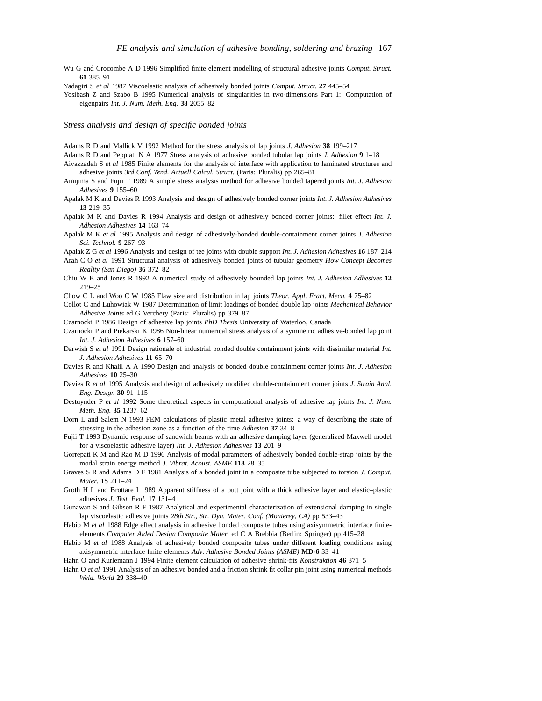Wu G and Crocombe A D 1996 Simplified finite element modelling of structural adhesive joints *Comput. Struct.* **61** 385–91

Yadagiri S *et al* 1987 Viscoelastic analysis of adhesively bonded joints *Comput. Struct.* **27** 445–54

Yosibash Z and Szabo B 1995 Numerical analysis of singularities in two-dimensions Part 1: Computation of eigenpairs *Int. J. Num. Meth. Eng.* **38** 2055–82

*Stress analysis and design of specific bonded joints*

Adams R D and Mallick V 1992 Method for the stress analysis of lap joints *J. Adhesion* **38** 199–217

- Adams R D and Peppiatt N A 1977 Stress analysis of adhesive bonded tubular lap joints *J. Adhesion* **9** 1–18
- Aivazzadeh S *et al* 1985 Finite elements for the analysis of interface with application to laminated structures and adhesive joints *3rd Conf. Tend. Actuell Calcul. Struct.* (Paris: Pluralis) pp 265–81
- Amijima S and Fujii T 1989 A simple stress analysis method for adhesive bonded tapered joints *Int. J. Adhesion Adhesives* **9** 155–60
- Apalak M K and Davies R 1993 Analysis and design of adhesively bonded corner joints *Int. J. Adhesion Adhesives* **13** 219–35
- Apalak M K and Davies R 1994 Analysis and design of adhesively bonded corner joints: fillet effect *Int. J. Adhesion Adhesives* **14** 163–74
- Apalak M K *et al* 1995 Analysis and design of adhesively-bonded double-containment corner joints *J. Adhesion Sci. Technol.* **9** 267–93
- Apalak Z G *et al* 1996 Analysis and design of tee joints with double support *Int. J. Adhesion Adhesives* **16** 187–214
- Arah C O *et al* 1991 Structural analysis of adhesively bonded joints of tubular geometry *How Concept Becomes Reality (San Diego)* **36** 372–82
- Chiu W K and Jones R 1992 A numerical study of adhesively bounded lap joints *Int. J. Adhesion Adhesives* **12** 219–25
- Chow C L and Woo C W 1985 Flaw size and distribution in lap joints *Theor. Appl. Fract. Mech.* **4** 75–82
- Collot C and Luhowiak W 1987 Determination of limit loadings of bonded double lap joints *Mechanical Behavior Adhesive Joints* ed G Verchery (Paris: Pluralis) pp 379–87

Czarnocki P 1986 Design of adhesive lap joints *PhD Thesis* University of Waterloo, Canada

- Czarnocki P and Piekarski K 1986 Non-linear numerical stress analysis of a symmetric adhesive-bonded lap joint *Int. J. Adhesion Adhesives* **6** 157–60
- Darwish S *et al* 1991 Design rationale of industrial bonded double containment joints with dissimilar material *Int. J. Adhesion Adhesives* **11** 65–70
- Davies R and Khalil A A 1990 Design and analysis of bonded double containment corner joints *Int. J. Adhesion Adhesives* **10** 25–30
- Davies R *et al* 1995 Analysis and design of adhesively modified double-containment corner joints *J. Strain Anal. Eng. Design* **30** 91–115
- Destuynder P *et al* 1992 Some theoretical aspects in computational analysis of adhesive lap joints *Int. J. Num. Meth. Eng.* **35** 1237–62
- Dorn L and Salem N 1993 FEM calculations of plastic–metal adhesive joints: a way of describing the state of stressing in the adhesion zone as a function of the time *Adhesion* **37** 34–8
- Fujii T 1993 Dynamic response of sandwich beams with an adhesive damping layer (generalized Maxwell model for a viscoelastic adhesive layer) *Int. J. Adhesion Adhesives* **13** 201–9
- Gorrepati K M and Rao M D 1996 Analysis of modal parameters of adhesively bonded double-strap joints by the modal strain energy method *J. Vibrat. Acoust. ASME* **118** 28–35
- Graves S R and Adams D F 1981 Analysis of a bonded joint in a composite tube subjected to torsion *J. Comput. Mater.* **15** 211–24
- Groth H L and Brottare I 1989 Apparent stiffness of a butt joint with a thick adhesive layer and elastic–plastic adhesives *J. Test. Eval.* **17** 131–4
- Gunawan S and Gibson R F 1987 Analytical and experimental characterization of extensional damping in single lap viscoelastic adhesive joints *28th Str., Str. Dyn. Mater. Conf. (Monterey, CA)* pp 533–43
- Habib M *et al* 1988 Edge effect analysis in adhesive bonded composite tubes using axisymmetric interface finiteelements *Computer Aided Design Composite Mater.* ed C A Brebbia (Berlin: Springer) pp 415–28
- Habib M *et al* 1988 Analysis of adhesively bonded composite tubes under different loading conditions using axisymmetric interface finite elements *Adv. Adhesive Bonded Joints (ASME)* **MD-6** 33–41

Hahn O and Kurlemann J 1994 Finite element calculation of adhesive shrink-fits *Konstruktion* **46** 371–5

Hahn O *et al* 1991 Analysis of an adhesive bonded and a friction shrink fit collar pin joint using numerical methods *Weld. World* **29** 338–40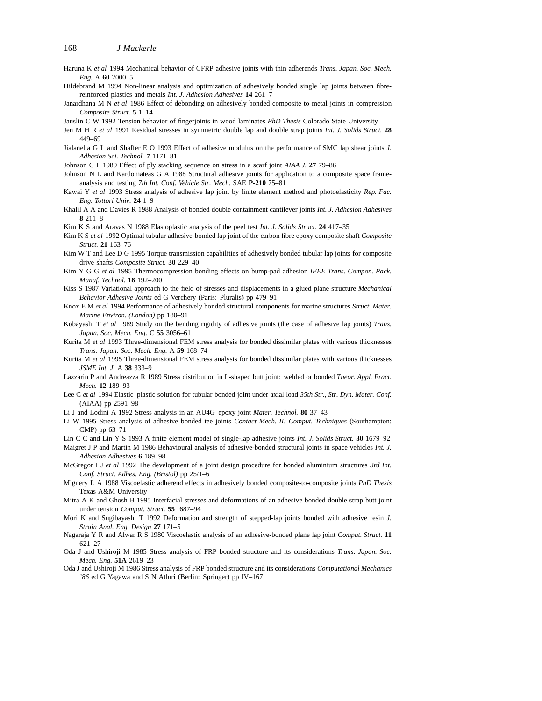- Haruna K *et al* 1994 Mechanical behavior of CFRP adhesive joints with thin adherends *Trans. Japan. Soc. Mech. Eng.* A **60** 2000–5
- Hildebrand M 1994 Non-linear analysis and optimization of adhesively bonded single lap joints between fibrereinforced plastics and metals *Int. J. Adhesion Adhesives* **14** 261–7
- Janardhana M N *et al* 1986 Effect of debonding on adhesively bonded composite to metal joints in compression *Composite Struct.* **5** 1–14
- Jauslin C W 1992 Tension behavior of fingerjoints in wood laminates *PhD Thesis* Colorado State University
- Jen M H R *et al* 1991 Residual stresses in symmetric double lap and double strap joints *Int. J. Solids Struct.* **28** 449–69
- Jialanella G L and Shaffer E O 1993 Effect of adhesive modulus on the performance of SMC lap shear joints *J. Adhesion Sci. Technol.* **7** 1171–81
- Johnson C L 1989 Effect of ply stacking sequence on stress in a scarf joint *AIAA J.* **27** 79–86
- Johnson N L and Kardomateas G A 1988 Structural adhesive joints for application to a composite space frameanalysis and testing *7th Int. Conf. Vehicle Str. Mech.* SAE **P-210** 75–81
- Kawai Y *et al* 1993 Stress analysis of adhesive lap joint by finite element method and photoelasticity *Rep. Fac. Eng. Tottori Univ.* **24** 1–9
- Khalil A A and Davies R 1988 Analysis of bonded double containment cantilever joints *Int. J. Adhesion Adhesives* **8** 211–8
- Kim K S and Aravas N 1988 Elastoplastic analysis of the peel test *Int. J. Solids Struct.* **24** 417–35
- Kim K S *et al* 1992 Optimal tubular adhesive-bonded lap joint of the carbon fibre epoxy composite shaft *Composite Struct.* **21** 163–76
- Kim W T and Lee D G 1995 Torque transmission capabilities of adhesively bonded tubular lap joints for composite drive shafts *Composite Struct.* **30** 229–40
- Kim Y G G *et al* 1995 Thermocompression bonding effects on bump-pad adhesion *IEEE Trans. Compon. Pack. Manuf. Technol.* **18** 192–200
- Kiss S 1987 Variational approach to the field of stresses and displacements in a glued plane structure *Mechanical Behavior Adhesive Joints* ed G Verchery (Paris: Pluralis) pp 479–91
- Knox E M *et al* 1994 Performance of adhesively bonded structural components for marine structures *Struct. Mater. Marine Environ. (London)* pp 180–91
- Kobayashi T *et al* 1989 Study on the bending rigidity of adhesive joints (the case of adhesive lap joints) *Trans. Japan. Soc. Mech. Eng.* C **55** 3056–61
- Kurita M *et al* 1993 Three-dimensional FEM stress analysis for bonded dissimilar plates with various thicknesses *Trans. Japan. Soc. Mech. Eng.* A **59** 168–74
- Kurita M *et al* 1995 Three-dimensional FEM stress analysis for bonded dissimilar plates with various thicknesses *JSME Int. J.* A **38** 333–9
- Lazzarin P and Andreazza R 1989 Stress distribution in L-shaped butt joint: welded or bonded *Theor. Appl. Fract. Mech.* **12** 189–93
- Lee C *et al* 1994 Elastic–plastic solution for tubular bonded joint under axial load *35th Str., Str. Dyn. Mater. Conf.* (AIAA) pp 2591–98
- Li J and Lodini A 1992 Stress analysis in an AU4G–epoxy joint *Mater. Technol.* **80** 37–43
- Li W 1995 Stress analysis of adhesive bonded tee joints *Contact Mech. II: Comput. Techniques* (Southampton: CMP) pp 63–71
- Lin C C and Lin Y S 1993 A finite element model of single-lap adhesive joints *Int. J. Solids Struct.* **30** 1679–92
- Maigret J P and Martin M 1986 Behavioural analysis of adhesive-bonded structural joints in space vehicles *Int. J. Adhesion Adhesives* **6** 189–98
- McGregor I J *et al* 1992 The development of a joint design procedure for bonded aluminium structures *3rd Int. Conf. Struct. Adhes. Eng. (Bristol)* pp 25/1–6
- Mignery L A 1988 Viscoelastic adherend effects in adhesively bonded composite-to-composite joints *PhD Thesis* Texas A&M University
- Mitra A K and Ghosh B 1995 Interfacial stresses and deformations of an adhesive bonded double strap butt joint under tension *Comput. Struct.* **55** 687–94
- Mori K and Sugibayashi T 1992 Deformation and strength of stepped-lap joints bonded with adhesive resin *J. Strain Anal. Eng. Design* **27** 171–5
- Nagaraja Y R and Alwar R S 1980 Viscoelastic analysis of an adhesive-bonded plane lap joint *Comput. Struct.* **11** 621–27
- Oda J and Ushiroji M 1985 Stress analysis of FRP bonded structure and its considerations *Trans. Japan. Soc. Mech. Eng.* **51A** 2619–23
- Oda J and Ushiroji M 1986 Stress analysis of FRP bonded structure and its considerations *Computational Mechanics '86* ed G Yagawa and S N Atluri (Berlin: Springer) pp IV–167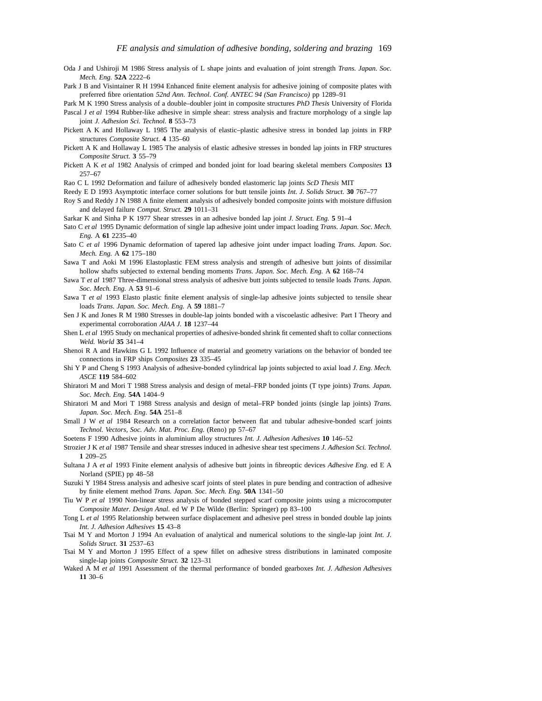- Oda J and Ushiroji M 1986 Stress analysis of L shape joints and evaluation of joint strength *Trans. Japan. Soc. Mech. Eng.* **52A** 2222–6
- Park J B and Visintainer R H 1994 Enhanced finite element analysis for adhesive joining of composite plates with preferred fibre orientation *52nd Ann. Technol. Conf. ANTEC 94 (San Francisco)* pp 1289–91

Park M K 1990 Stress analysis of a double–doubler joint in composite structures *PhD Thesis* University of Florida

- Pascal J *et al* 1994 Rubber-like adhesive in simple shear: stress analysis and fracture morphology of a single lap joint *J. Adhesion Sci. Technol.* **8** 553–73
- Pickett A K and Hollaway L 1985 The analysis of elastic–plastic adhesive stress in bonded lap joints in FRP structures *Composite Struct.* **4** 135–60
- Pickett A K and Hollaway L 1985 The analysis of elastic adhesive stresses in bonded lap joints in FRP structures *Composite Struct.* **3** 55–79
- Pickett A K *et al* 1982 Analysis of crimped and bonded joint for load bearing skeletal members *Composites* **13** 257–67
- Rao C L 1992 Deformation and failure of adhesively bonded elastomeric lap joints *ScD Thesis* MIT
- Reedy E D 1993 Asymptotic interface corner solutions for butt tensile joints *Int. J. Solids Struct.* **30** 767–77
- Roy S and Reddy J N 1988 A finite element analysis of adhesively bonded composite joints with moisture diffusion and delayed failure *Comput. Struct.* **29** 1011–31
- Sarkar K and Sinha P K 1977 Shear stresses in an adhesive bonded lap joint *J. Struct. Eng.* **5** 91–4
- Sato C *et al* 1995 Dynamic deformation of single lap adhesive joint under impact loading *Trans. Japan. Soc. Mech. Eng.* A **61** 2235–40
- Sato C *et al* 1996 Dynamic deformation of tapered lap adhesive joint under impact loading *Trans. Japan. Soc. Mech. Eng.* A **62** 175–180
- Sawa T and Aoki M 1996 Elastoplastic FEM stress analysis and strength of adhesive butt joints of dissimilar hollow shafts subjected to external bending moments *Trans. Japan. Soc. Mech. Eng.* A **62** 168–74
- Sawa T *et al* 1987 Three-dimensional stress analysis of adhesive butt joints subjected to tensile loads *Trans. Japan. Soc. Mech. Eng.* A **53** 91–6
- Sawa T *et al* 1993 Elasto plastic finite element analysis of single-lap adhesive joints subjected to tensile shear loads *Trans. Japan. Soc. Mech. Eng.* A **59** 1881–7
- Sen J K and Jones R M 1980 Stresses in double-lap joints bonded with a viscoelastic adhesive: Part I Theory and experimental corroboration *AIAA J.* **18** 1237–44
- Shen L *et al* 1995 Study on mechanical properties of adhesive-bonded shrink fit cemented shaft to collar connections *Weld. World* **35** 341–4
- Shenoi R A and Hawkins G L 1992 Influence of material and geometry variations on the behavior of bonded tee connections in FRP ships *Composites* **23** 335–45
- Shi Y P and Cheng S 1993 Analysis of adhesive-bonded cylindrical lap joints subjected to axial load *J. Eng. Mech. ASCE* **119** 584–602
- Shiratori M and Mori T 1988 Stress analysis and design of metal–FRP bonded joints (T type joints) *Trans. Japan. Soc. Mech. Eng.* **54A** 1404–9
- Shiratori M and Mori T 1988 Stress analysis and design of metal–FRP bonded joints (single lap joints) *Trans. Japan. Soc. Mech. Eng.* **54A** 251–8
- Small J W *et al* 1984 Research on a correlation factor between flat and tubular adhesive-bonded scarf joints *Technol. Vectors, Soc. Adv. Mat. Proc. Eng.* (Reno) pp 57–67
- Soetens F 1990 Adhesive joints in aluminium alloy structures *Int. J. Adhesion Adhesives* **10** 146–52
- Strozier J K *et al* 1987 Tensile and shear stresses induced in adhesive shear test specimens *J. Adhesion Sci. Technol.* **1** 209–25
- Sultana J A *et al* 1993 Finite element analysis of adhesive butt joints in fibreoptic devices *Adhesive Eng.* ed E A Norland (SPIE) pp 48–58
- Suzuki Y 1984 Stress analysis and adhesive scarf joints of steel plates in pure bending and contraction of adhesive by finite element method *Trans. Japan. Soc. Mech. Eng.* **50A** 1341–50
- Tiu W P *et al* 1990 Non-linear stress analysis of bonded stepped scarf composite joints using a microcomputer *Composite Mater. Design Anal.* ed W P De Wilde (Berlin: Springer) pp 83–100
- Tong L *et al* 1995 Relationship between surface displacement and adhesive peel stress in bonded double lap joints *Int. J. Adhesion Adhesives* **15** 43–8
- Tsai M Y and Morton J 1994 An evaluation of analytical and numerical solutions to the single-lap joint *Int. J. Solids Struct.* **31** 2537–63
- Tsai M Y and Morton J 1995 Effect of a spew fillet on adhesive stress distributions in laminated composite single-lap joints *Composite Struct.* **32** 123–31
- Waked A M *et al* 1991 Assessment of the thermal performance of bonded gearboxes *Int. J. Adhesion Adhesives* **11** 30–6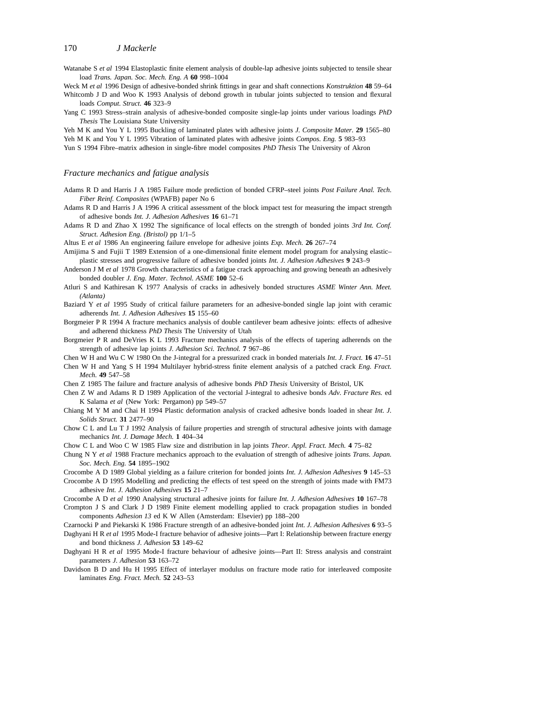Watanabe S *et al* 1994 Elastoplastic finite element analysis of double-lap adhesive joints subjected to tensile shear load *Trans. Japan. Soc. Mech. Eng. A* **60** 998–1004

Weck M *et al* 1996 Design of adhesive-bonded shrink fittings in gear and shaft connections *Konstruktion* **48** 59–64 Whitcomb J D and Woo K 1993 Analysis of debond growth in tubular joints subjected to tension and flexural loads *Comput. Struct.* **46** 323–9

Yang C 1993 Stress–strain analysis of adhesive-bonded composite single-lap joints under various loadings *PhD Thesis* The Louisiana State University

Yeh M K and You Y L 1995 Buckling of laminated plates with adhesive joints *J. Composite Mater.* **29** 1565–80 Yeh M K and You Y L 1995 Vibration of laminated plates with adhesive joints *Compos. Eng.* **5** 983–93 Yun S 1994 Fibre–matrix adhesion in single-fibre model composites *PhD Thesis* The University of Akron

#### *Fracture mechanics and fatigue analysis*

Adams R D and Harris J A 1985 Failure mode prediction of bonded CFRP–steel joints *Post Failure Anal. Tech. Fiber Reinf. Composites* (WPAFB) paper No 6

Adams R D and Harris J A 1996 A critical assessment of the block impact test for measuring the impact strength of adhesive bonds *Int. J. Adhesion Adhesives* **16** 61–71

Adams R D and Zhao X 1992 The significance of local effects on the strength of bonded joints *3rd Int. Conf. Struct. Adhesion Eng. (Bristol)* pp 1/1–5

Altus E *et al* 1986 An engineering failure envelope for adhesive joints *Exp. Mech.* **26** 267–74

- Amijima S and Fujii T 1989 Extension of a one-dimensional finite element model program for analysing elastic– plastic stresses and progressive failure of adhesive bonded joints *Int. J. Adhesion Adhesives* **9** 243–9
- Anderson J M *et al* 1978 Growth characteristics of a fatigue crack approaching and growing beneath an adhesively bonded doubler *J. Eng. Mater. Technol. ASME* **100** 52–6
- Atluri S and Kathiresan K 1977 Analysis of cracks in adhesively bonded structures *ASME Winter Ann. Meet. (Atlanta)*
- Baziard Y *et al* 1995 Study of critical failure parameters for an adhesive-bonded single lap joint with ceramic adherends *Int. J. Adhesion Adhesives* **15** 155–60
- Borgmeier P R 1994 A fracture mechanics analysis of double cantilever beam adhesive joints: effects of adhesive and adherend thickness *PhD Thesis* The University of Utah
- Borgmeier P R and DeVries K L 1993 Fracture mechanics analysis of the effects of tapering adherends on the strength of adhesive lap joints *J. Adhesion Sci. Technol.* **7** 967–86
- Chen W H and Wu C W 1980 On the J-integral for a pressurized crack in bonded materials *Int. J. Fract.* **16** 47–51
- Chen W H and Yang S H 1994 Multilayer hybrid-stress finite element analysis of a patched crack *Eng. Fract. Mech.* **49** 547–58
- Chen Z 1985 The failure and fracture analysis of adhesive bonds *PhD Thesis* University of Bristol, UK
- Chen Z W and Adams R D 1989 Application of the vectorial J-integral to adhesive bonds *Adv. Fracture Res.* ed K Salama *et al* (New York: Pergamon) pp 549–57
- Chiang M Y M and Chai H 1994 Plastic deformation analysis of cracked adhesive bonds loaded in shear *Int. J. Solids Struct.* **31** 2477–90
- Chow C L and Lu T J 1992 Analysis of failure properties and strength of structural adhesive joints with damage mechanics *Int. J. Damage Mech.* **1** 404–34
- Chow C L and Woo C W 1985 Flaw size and distribution in lap joints *Theor. Appl. Fract. Mech.* **4** 75–82
- Chung N Y *et al* 1988 Fracture mechanics approach to the evaluation of strength of adhesive joints *Trans. Japan. Soc. Mech. Eng.* **54** 1895–1902
- Crocombe A D 1989 Global yielding as a failure criterion for bonded joints *Int. J. Adhesion Adhesives* **9** 145–53
- Crocombe A D 1995 Modelling and predicting the effects of test speed on the strength of joints made with FM73 adhesive *Int. J. Adhesion Adhesives* **15** 21–7
- Crocombe A D *et al* 1990 Analysing structural adhesive joints for failure *Int. J. Adhesion Adhesives* **10** 167–78
- Crompton J S and Clark J D 1989 Finite element modelling applied to crack propagation studies in bonded components *Adhesion 13* ed K W Allen (Amsterdam: Elsevier) pp 188–200
- Czarnocki P and Piekarski K 1986 Fracture strength of an adhesive-bonded joint *Int. J. Adhesion Adhesives* **6** 93–5
- Daghyani H R *et al* 1995 Mode-I fracture behavior of adhesive joints—Part I: Relationship between fracture energy and bond thickness *J. Adhesion* **53** 149–62
- Daghyani H R *et al* 1995 Mode-I fracture behaviour of adhesive joints—Part II: Stress analysis and constraint parameters *J. Adhesion* **53** 163–72
- Davidson B D and Hu H 1995 Effect of interlayer modulus on fracture mode ratio for interleaved composite laminates *Eng. Fract. Mech.* **52** 243–53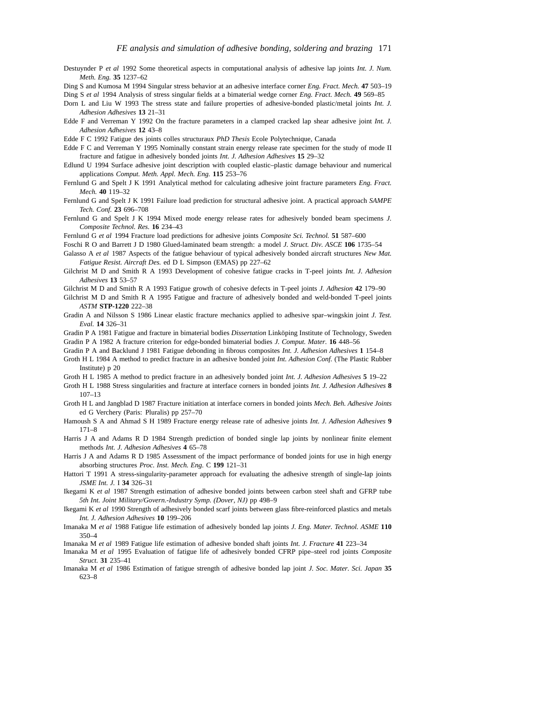- Destuynder P *et al* 1992 Some theoretical aspects in computational analysis of adhesive lap joints *Int. J. Num. Meth. Eng.* **35** 1237–62
- Ding S and Kumosa M 1994 Singular stress behavior at an adhesive interface corner *Eng. Fract. Mech.* **47** 503–19 Ding S *et al* 1994 Analysis of stress singular fields at a bimaterial wedge corner *Eng. Fract. Mech.* **49** 569–85
- Dorn L and Liu W 1993 The stress state and failure properties of adhesive-bonded plastic/metal joints *Int. J. Adhesion Adhesives* **13** 21–31
- Edde F and Verreman Y 1992 On the fracture parameters in a clamped cracked lap shear adhesive joint *Int. J. Adhesion Adhesives* **12** 43–8
- Edde F C 1992 Fatigue des joints colles structuraux *PhD Thesis* Ecole Polytechnique, Canada
- Edde F C and Verreman Y 1995 Nominally constant strain energy release rate specimen for the study of mode II fracture and fatigue in adhesively bonded joints *Int. J. Adhesion Adhesives* **15** 29–32
- Edlund U 1994 Surface adhesive joint description with coupled elastic–plastic damage behaviour and numerical applications *Comput. Meth. Appl. Mech. Eng.* **115** 253–76
- Fernlund G and Spelt J K 1991 Analytical method for calculating adhesive joint fracture parameters *Eng. Fract. Mech.* **40** 119–32
- Fernlund G and Spelt J K 1991 Failure load prediction for structural adhesive joint. A practical approach *SAMPE Tech. Conf.* **23** 696–708
- Fernlund G and Spelt J K 1994 Mixed mode energy release rates for adhesively bonded beam specimens *J. Composite Technol. Res.* **16** 234–43
- Fernlund G *et al* 1994 Fracture load predictions for adhesive joints *Composite Sci. Technol.* **51** 587–600
- Foschi R O and Barrett J D 1980 Glued-laminated beam strength: a model *J. Struct. Div. ASCE* **106** 1735–54
- Galasso A *et al* 1987 Aspects of the fatigue behaviour of typical adhesively bonded aircraft structures *New Mat. Fatigue Resist. Aircraft Des.* ed D L Simpson (EMAS) pp 227–62
- Gilchrist M D and Smith R A 1993 Development of cohesive fatigue cracks in T-peel joints *Int. J. Adhesion Adhesives* **13** 53–57
- Gilchrist M D and Smith R A 1993 Fatigue growth of cohesive defects in T-peel joints *J. Adhesion* **42** 179–90
- Gilchrist M D and Smith R A 1995 Fatigue and fracture of adhesively bonded and weld-bonded T-peel joints *ASTM* **STP-1220** 222–38
- Gradin A and Nilsson S 1986 Linear elastic fracture mechanics applied to adhesive spar–wingskin joint *J. Test. Eval.* **14** 326–31
- Gradin P A 1981 Fatigue and fracture in bimaterial bodies *Dissertation* Linköping Institute of Technology, Sweden Gradin P A 1982 A fracture criterion for edge-bonded bimaterial bodies *J. Comput. Mater.* **16** 448–56
- Gradin P A and Backlund J 1981 Fatigue debonding in fibrous composites *Int. J. Adhesion Adhesives* **1** 154–8
- Groth H L 1984 A method to predict fracture in an adhesive bonded joint *Int. Adhesion Conf.* (The Plastic Rubber Institute) p 20
- Groth H L 1985 A method to predict fracture in an adhesively bonded joint *Int. J. Adhesion Adhesives* **5** 19–22
- Groth H L 1988 Stress singularities and fracture at interface corners in bonded joints *Int. J. Adhesion Adhesives* **8** 107–13
- Groth H L and Jangblad D 1987 Fracture initiation at interface corners in bonded joints *Mech. Beh. Adhesive Joints* ed G Verchery (Paris: Pluralis) pp 257–70
- Hamoush S A and Ahmad S H 1989 Fracture energy release rate of adhesive joints *Int. J. Adhesion Adhesives* **9** 171–8
- Harris J A and Adams R D 1984 Strength prediction of bonded single lap joints by nonlinear finite element methods *Int. J. Adhesion Adhesives* **4** 65–78
- Harris J A and Adams R D 1985 Assessment of the impact performance of bonded joints for use in high energy absorbing structures *Proc. Inst. Mech. Eng.* C **199** 121–31
- Hattori T 1991 A stress-singularity-parameter approach for evaluating the adhesive strength of single-lap joints *JSME Int. J.* I **34** 326–31
- Ikegami K *et al* 1987 Strength estimation of adhesive bonded joints between carbon steel shaft and GFRP tube *5th Int. Joint Military/Govern.-Industry Symp. (Dover, NJ)* pp 498–9
- Ikegami K *et al* 1990 Strength of adhesively bonded scarf joints between glass fibre-reinforced plastics and metals *Int. J. Adhesion Adhesives* **10** 199–206
- Imanaka M *et al* 1988 Fatigue life estimation of adhesively bonded lap joints *J. Eng. Mater. Technol. ASME* **110** 350–4
- Imanaka M *et al* 1989 Fatigue life estimation of adhesive bonded shaft joints *Int. J. Fracture* **41** 223–34
- Imanaka M *et al* 1995 Evaluation of fatigue life of adhesively bonded CFRP pipe–steel rod joints *Composite Struct.* **31** 235–41
- Imanaka M *et al* 1986 Estimation of fatigue strength of adhesive bonded lap joint *J. Soc. Mater. Sci. Japan* **35** 623–8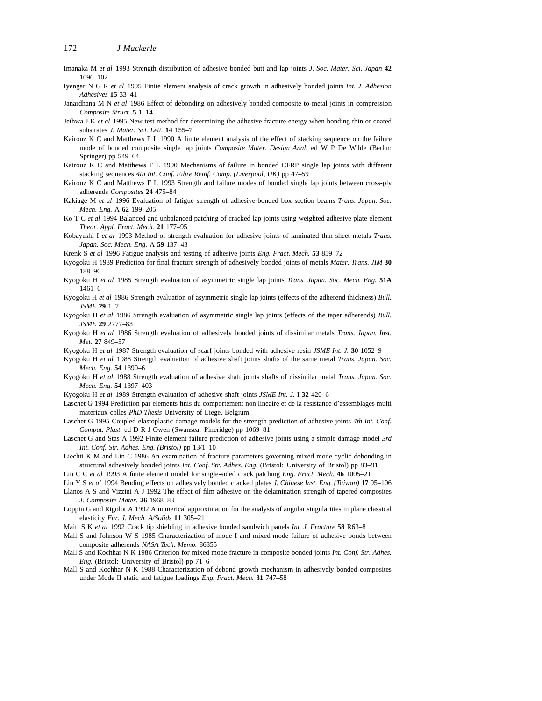- Imanaka M *et al* 1993 Strength distribution of adhesive bonded butt and lap joints *J. Soc. Mater. Sci. Japan* **42** 1096–102
- IyengarNGR *et al* 1995 Finite element analysis of crack growth in adhesively bonded joints *Int. J. Adhesion Adhesives* **15** 33–41
- Janardhana M N *et al* 1986 Effect of debonding on adhesively bonded composite to metal joints in compression *Composite Struct.* **5** 1–14
- Jethwa J K *et al* 1995 New test method for determining the adhesive fracture energy when bonding thin or coated substrates *J. Mater. Sci. Lett.* **14** 155–7
- Kairouz K C and Matthews F L 1990 A finite element analysis of the effect of stacking sequence on the failure mode of bonded composite single lap joints *Composite Mater. Design Anal.* ed W P De Wilde (Berlin: Springer) pp 549–64
- Kairouz K C and Matthews F L 1990 Mechanisms of failure in bonded CFRP single lap joints with different stacking sequences *4th Int. Conf. Fibre Reinf. Comp. (Liverpool, UK)* pp 47–59
- Kairouz K C and Matthews F L 1993 Strength and failure modes of bonded single lap joints between cross-ply adherends *Composites* **24** 475–84
- Kakiage M *et al* 1996 Evaluation of fatigue strength of adhesive-bonded box section beams *Trans. Japan. Soc. Mech. Eng.* A **62** 199–205
- Ko T C *et al* 1994 Balanced and unbalanced patching of cracked lap joints using weighted adhesive plate element *Theor. Appl. Fract. Mech.* **21** 177–95
- Kobayashi I *et al* 1993 Method of strength evaluation for adhesive joints of laminated thin sheet metals *Trans. Japan. Soc. Mech. Eng.* A **59** 137–43
- Krenk S *et al* 1996 Fatigue analysis and testing of adhesive joints *Eng. Fract. Mech.* **53** 859–72
- Kyogoku H 1989 Prediction for final fracture strength of adhesively bonded joints of metals *Mater. Trans. JIM* **30** 188–96
- Kyogoku H *et al* 1985 Strength evaluation of asymmetric single lap joints *Trans. Japan. Soc. Mech. Eng.* **51A** 1461–6
- Kyogoku H *et al* 1986 Strength evaluation of asymmetric single lap joints (effects of the adherend thickness) *Bull. JSME* **29** 1–7
- Kyogoku H *et al* 1986 Strength evaluation of asymmetric single lap joints (effects of the taper adherends) *Bull. JSME* **29** 2777–83
- Kyogoku H *et al* 1986 Strength evaluation of adhesively bonded joints of dissimilar metals *Trans. Japan. Inst. Met.* **27** 849–57
- Kyogoku H *et al* 1987 Strength evaluation of scarf joints bonded with adhesive resin *JSME Int. J.* **30** 1052–9
- Kyogoku H *et al* 1988 Strength evaluation of adhesive shaft joints shafts of the same metal *Trans. Japan. Soc. Mech. Eng.* **54** 1390–6
- Kyogoku H *et al* 1988 Strength evaluation of adhesive shaft joints shafts of dissimilar metal *Trans. Japan. Soc. Mech. Eng.* **54** 1397–403
- Kyogoku H *et al* 1989 Strength evaluation of adhesive shaft joints *JSME Int. J.* I **32** 420–6
- Laschet G 1994 Prediction par elements finis du comportement non lineaire et de la resistance d'assemblages multi materiaux colles *PhD Thesis* University of Liege, Belgium
- Laschet G 1995 Coupled elastoplastic damage models for the strength prediction of adhesive joints *4th Int. Conf. Comput. Plast.* ed D R J Owen (Swansea: Pineridge) pp 1069–81
- Laschet G and Stas A 1992 Finite element failure prediction of adhesive joints using a simple damage model *3rd Int. Conf. Str. Adhes. Eng. (Bristol)* pp 13/1–10
- Liechti K M and Lin C 1986 An examination of fracture parameters governing mixed mode cyclic debonding in structural adhesively bonded joints *Int. Conf. Str. Adhes. Eng.* (Bristol: University of Bristol) pp 83–91
- Lin C C *et al* 1993 A finite element model for single-sided crack patching *Eng. Fract. Mech.* **46** 1005–21

Lin Y S *et al* 1994 Bending effects on adhesively bonded cracked plates *J. Chinese Inst. Eng. (Taiwan)* **17** 95–106

- Llanos A S and Vizzini A J 1992 The effect of film adhesive on the delamination strength of tapered composites *J. Composite Mater.* **26** 1968–83
- Loppin G and Rigolot A 1992 A numerical approximation for the analysis of angular singularities in plane classical elasticity *Eur. J. Mech. A/Solids* **11** 305–21
- Maiti S K *et al* 1992 Crack tip shielding in adhesive bonded sandwich panels *Int. J. Fracture* **58** R63–8
- Mall S and Johnson W S 1985 Characterization of mode I and mixed-mode failure of adhesive bonds between composite adherends *NASA Tech. Memo.* 86355
- Mall S and Kochhar N K 1986 Criterion for mixed mode fracture in composite bonded joints *Int. Conf. Str. Adhes. Eng.* (Bristol: University of Bristol) pp 71–6
- Mall S and Kochhar N K 1988 Characterization of debond growth mechanism in adhesively bonded composites under Mode II static and fatigue loadings *Eng. Fract. Mech.* **31** 747–58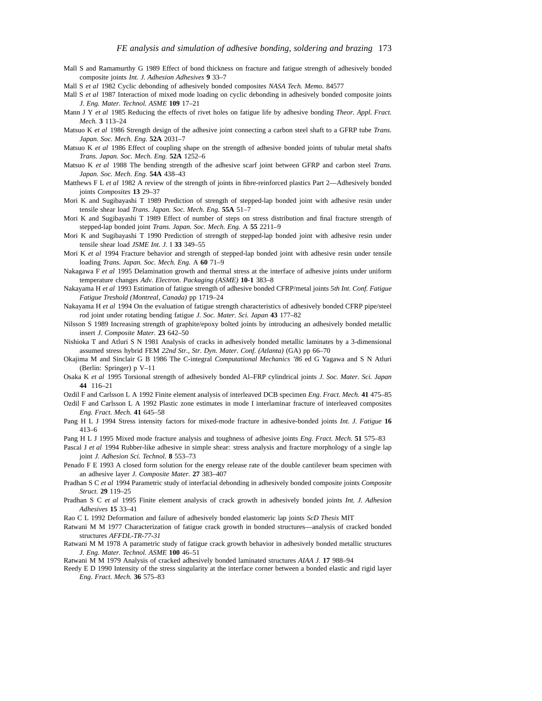- Mall S and Ramamurthy G 1989 Effect of bond thickness on fracture and fatigue strength of adhesively bonded composite joints *Int. J. Adhesion Adhesives* **9** 33–7
- Mall S *et al* 1982 Cyclic debonding of adhesively bonded composites *NASA Tech. Memo.* 84577
- Mall S *et al* 1987 Interaction of mixed mode loading on cyclic debonding in adhesively bonded composite joints *J. Eng. Mater. Technol. ASME* **109** 17–21
- Mann J Y *et al* 1985 Reducing the effects of rivet holes on fatigue life by adhesive bonding *Theor. Appl. Fract. Mech.* **3** 113–24
- Matsuo K *et al* 1986 Strength design of the adhesive joint connecting a carbon steel shaft to a GFRP tube *Trans. Japan. Soc. Mech. Eng.* **52A** 2031–7
- Matsuo K *et al* 1986 Effect of coupling shape on the strength of adhesive bonded joints of tubular metal shafts *Trans. Japan. Soc. Mech. Eng.* **52A** 1252–6
- Matsuo K *et al* 1988 The bending strength of the adhesive scarf joint between GFRP and carbon steel *Trans. Japan. Soc. Mech. Eng.* **54A** 438–43
- Matthews F L *et al* 1982 A review of the strength of joints in fibre-reinforced plastics Part 2—Adhesively bonded joints *Composites* **13** 29–37
- Mori K and Sugibayashi T 1989 Prediction of strength of stepped-lap bonded joint with adhesive resin under tensile shear load *Trans. Japan. Soc. Mech. Eng.* **55A** 51–7
- Mori K and Sugibayashi T 1989 Effect of number of steps on stress distribution and final fracture strength of stepped-lap bonded joint *Trans. Japan. Soc. Mech. Eng.* A **55** 2211–9
- Mori K and Sugibayashi T 1990 Prediction of strength of stepped-lap bonded joint with adhesive resin under tensile shear load *JSME Int. J.* I **33** 349–55
- Mori K *et al* 1994 Fracture behavior and strength of stepped-lap bonded joint with adhesive resin under tensile loading *Trans. Japan. Soc. Mech. Eng.* A **60** 71–9
- Nakagawa F *et al* 1995 Delamination growth and thermal stress at the interface of adhesive joints under uniform temperature changes *Adv. Electron. Packaging (ASME)* **10-1** 383–8
- Nakayama H *et al* 1993 Estimation of fatigue strength of adhesive bonded CFRP/metal joints *5th Int. Conf. Fatigue Fatigue Treshold (Montreal, Canada)* pp 1719–24
- Nakayama H *et al* 1994 On the evaluation of fatigue strength characteristics of adhesively bonded CFRP pipe/steel rod joint under rotating bending fatigue *J. Soc. Mater. Sci. Japan* **43** 177–82
- Nilsson S 1989 Increasing strength of graphite/epoxy bolted joints by introducing an adhesively bonded metallic insert *J. Composite Mater.* **23** 642–50
- Nishioka T and Atluri S N 1981 Analysis of cracks in adhesively bonded metallic laminates by a 3-dimensional assumed stress hybrid FEM *22nd Str., Str. Dyn. Mater. Conf. (Atlanta)* (GA) pp 66–70
- Okajima M and Sinclair G B 1986 The C-integral *Computational Mechanics '86* ed G Yagawa and S N Atluri (Berlin: Springer) p V–11
- Osaka K *et al* 1995 Torsional strength of adhesively bonded Al–FRP cylindrical joints *J. Soc. Mater. Sci. Japan* **44** 116–21
- Ozdil F and Carlsson L A 1992 Finite element analysis of interleaved DCB specimen *Eng. Fract. Mech.* **41** 475–85
- Ozdil F and Carlsson L A 1992 Plastic zone estimates in mode I interlaminar fracture of interleaved composites *Eng. Fract. Mech.* **41** 645–58
- Pang H L J 1994 Stress intensity factors for mixed-mode fracture in adhesive-bonded joints *Int. J. Fatigue* **16** 413–6
- Pang H L J 1995 Mixed mode fracture analysis and toughness of adhesive joints *Eng. Fract. Mech.* **51** 575–83
- Pascal J *et al* 1994 Rubber-like adhesive in simple shear: stress analysis and fracture morphology of a single lap joint *J. Adhesion Sci. Technol.* **8** 553–73
- Penado F E 1993 A closed form solution for the energy release rate of the double cantilever beam specimen with an adhesive layer *J. Composite Mater.* **27** 383–407
- Pradhan S C *et al* 1994 Parametric study of interfacial debonding in adhesively bonded composite joints *Composite Struct.* **29** 119–25
- Pradhan S C *et al* 1995 Finite element analysis of crack growth in adhesively bonded joints *Int. J. Adhesion Adhesives* **15** 33–41
- Rao C L 1992 Deformation and failure of adhesively bonded elastomeric lap joints *ScD Thesis* MIT
- Ratwani M M 1977 Characterization of fatigue crack growth in bonded structures—analysis of cracked bonded structures *AFFDL-TR-77-31*
- Ratwani M M 1978 A parametric study of fatigue crack growth behavior in adhesively bonded metallic structures *J. Eng. Mater. Technol. ASME* **100** 46–51
- Ratwani M M 1979 Analysis of cracked adhesively bonded laminated structures *AIAA J.* **17** 988–94
- Reedy E D 1990 Intensity of the stress singularity at the interface corner between a bonded elastic and rigid layer *Eng. Fract. Mech.* **36** 575–83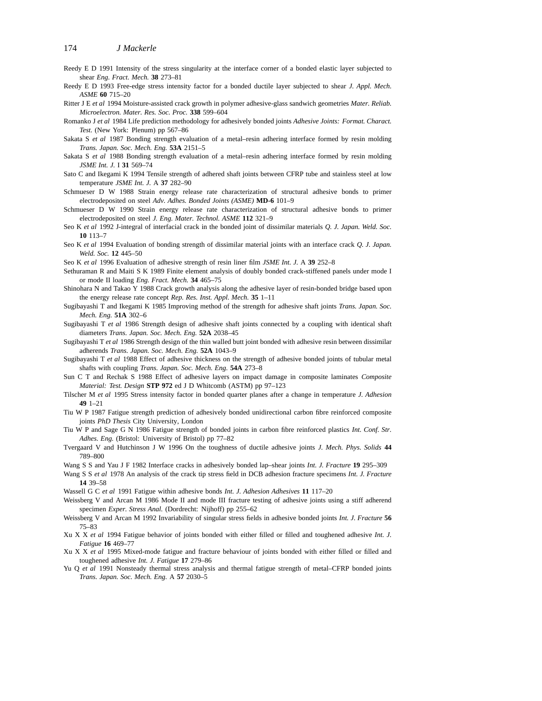- Reedy E D 1991 Intensity of the stress singularity at the interface corner of a bonded elastic layer subjected to shear *Eng. Fract. Mech.* **38** 273–81
- Reedy E D 1993 Free-edge stress intensity factor for a bonded ductile layer subjected to shear *J. Appl. Mech. ASME* **60** 715–20
- Ritter J E *et al* 1994 Moisture-assisted crack growth in polymer adhesive-glass sandwich geometries *Mater. Reliab. Microelectron. Mater. Res. Soc. Proc.* **338** 599–604
- Romanko J *et al* 1984 Life prediction methodology for adhesively bonded joints *Adhesive Joints: Format. Charact. Test.* (New York: Plenum) pp 567–86
- Sakata S *et al* 1987 Bonding strength evaluation of a metal–resin adhering interface formed by resin molding *Trans. Japan. Soc. Mech. Eng.* **53A** 2151–5
- Sakata S *et al* 1988 Bonding strength evaluation of a metal–resin adhering interface formed by resin molding *JSME Int. J.* I **31** 569–74
- Sato C and Ikegami K 1994 Tensile strength of adhered shaft joints between CFRP tube and stainless steel at low temperature *JSME Int. J.* A **37** 282–90
- Schmueser D W 1988 Strain energy release rate characterization of structural adhesive bonds to primer electrodeposited on steel *Adv. Adhes. Bonded Joints (ASME)* **MD-6** 101–9
- Schmueser D W 1990 Strain energy release rate characterization of structural adhesive bonds to primer electrodeposited on steel *J. Eng. Mater. Technol. ASME* **112** 321–9
- Seo K *et al* 1992 J-integral of interfacial crack in the bonded joint of dissimilar materials *Q. J. Japan. Weld. Soc.* **10** 113–7
- Seo K *et al* 1994 Evaluation of bonding strength of dissimilar material joints with an interface crack *Q. J. Japan. Weld. Soc.* **12** 445–50
- Seo K *et al* 1996 Evaluation of adhesive strength of resin liner film *JSME Int. J.* A **39** 252–8
- Sethuraman R and Maiti S K 1989 Finite element analysis of doubly bonded crack-stiffened panels under mode I or mode II loading *Eng. Fract. Mech.* **34** 465–75
- Shinohara N and Takao Y 1988 Crack growth analysis along the adhesive layer of resin-bonded bridge based upon the energy release rate concept *Rep. Res. Inst. Appl. Mech.* **35** 1–11
- Sugibayashi T and Ikegami K 1985 Improving method of the strength for adhesive shaft joints *Trans. Japan. Soc. Mech. Eng.* **51A** 302–6
- Sugibayashi T *et al* 1986 Strength design of adhesive shaft joints connected by a coupling with identical shaft diameters *Trans. Japan. Soc. Mech. Eng.* **52A** 2038–45
- Sugibayashi T *et al* 1986 Strength design of the thin walled butt joint bonded with adhesive resin between dissimilar adherends *Trans. Japan. Soc. Mech. Eng.* **52A** 1043–9
- Sugibayashi T *et al* 1988 Effect of adhesive thickness on the strength of adhesive bonded joints of tubular metal shafts with coupling *Trans. Japan. Soc. Mech. Eng.* **54A** 273–8
- Sun C T and Rechak S 1988 Effect of adhesive layers on impact damage in composite laminates *Composite Material: Test. Design* **STP 972** ed J D Whitcomb (ASTM) pp 97–123
- Tilscher M *et al* 1995 Stress intensity factor in bonded quarter planes after a change in temperature *J. Adhesion* **49** 1–21
- Tiu W P 1987 Fatigue strength prediction of adhesively bonded unidirectional carbon fibre reinforced composite joints *PhD Thesis* City University, London
- Tiu W P and Sage G N 1986 Fatigue strength of bonded joints in carbon fibre reinforced plastics *Int. Conf. Str. Adhes. Eng.* (Bristol: University of Bristol) pp 77–82
- Tvergaard V and Hutchinson J W 1996 On the toughness of ductile adhesive joints *J. Mech. Phys. Solids* **44** 789–800
- Wang S S and Yau J F 1982 Interface cracks in adhesively bonded lap–shear joints *Int. J. Fracture* **19** 295–309
- Wang S S *et al* 1978 An analysis of the crack tip stress field in DCB adhesion fracture specimens *Int. J. Fracture* **14** 39–58
- Wassell G C *et al* 1991 Fatigue within adhesive bonds *Int. J. Adhesion Adhesives* **11** 117–20
- Weissberg V and Arcan M 1986 Mode II and mode III fracture testing of adhesive joints using a stiff adherend specimen *Exper. Stress Anal.* (Dordrecht: Nijhoff) pp 255–62
- Weissberg V and Arcan M 1992 Invariability of singular stress fields in adhesive bonded joints *Int. J. Fracture* **56** 75–83
- Xu X X *et al* 1994 Fatigue behavior of joints bonded with either filled or filled and toughened adhesive *Int. J. Fatigue* **16** 469–77
- Xu X X *et al* 1995 Mixed-mode fatigue and fracture behaviour of joints bonded with either filled or filled and toughened adhesive *Int. J. Fatigue* **17** 279–86
- Yu Q *et al* 1991 Nonsteady thermal stress analysis and thermal fatigue strength of metal–CFRP bonded joints *Trans. Japan. Soc. Mech. Eng.* A **57** 2030–5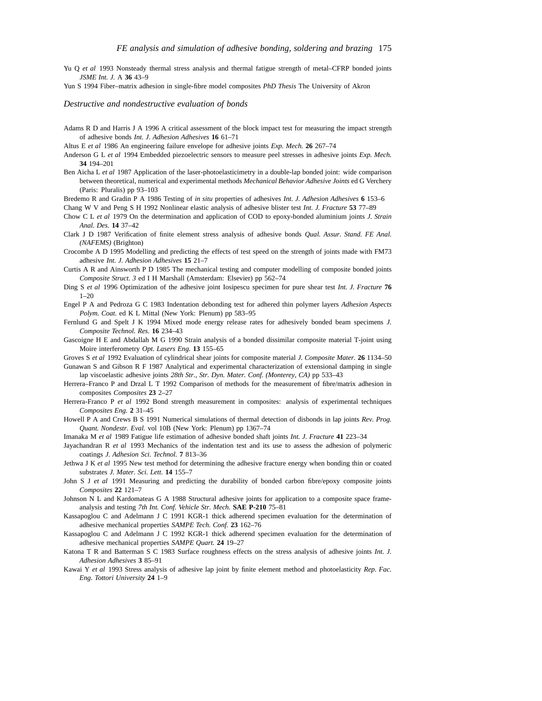- Yu Q et al 1993 Nonsteady thermal stress analysis and thermal fatigue strength of metal–CFRP bonded joints *JSME Int. J.* A **36** 43–9
- Yun S 1994 Fiber–matrix adhesion in single-fibre model composites *PhD Thesis* The University of Akron

#### *Destructive and nondestructive evaluation of bonds*

Adams R D and Harris J A 1996 A critical assessment of the block impact test for measuring the impact strength of adhesive bonds *Int. J. Adhesion Adhesives* **16** 61–71

Altus E *et al* 1986 An engineering failure envelope for adhesive joints *Exp. Mech.* **26** 267–74

- Anderson G L *et al* 1994 Embedded piezoelectric sensors to measure peel stresses in adhesive joints *Exp. Mech.* **34** 194–201
- Ben Aicha L *et al* 1987 Application of the laser-photoelasticimetry in a double-lap bonded joint: wide comparison between theoretical, numerical and experimental methods *Mechanical Behavior Adhesive Joints* ed G Verchery (Paris: Pluralis) pp 93–103

Bredemo R and Gradin P A 1986 Testing of *in situ* properties of adhesives *Int. J. Adhesion Adhesives* **6** 153–6

Chang W V and Peng S H 1992 Nonlinear elastic analysis of adhesive blister test *Int. J. Fracture* **53** 77–89

- Chow C L *et al* 1979 On the determination and application of COD to epoxy-bonded aluminium joints *J. Strain Anal. Des.* **14** 37–42
- Clark J D 1987 Verification of finite element stress analysis of adhesive bonds *Qual. Assur. Stand. FE Anal. (NAFEMS)* (Brighton)
- Crocombe A D 1995 Modelling and predicting the effects of test speed on the strength of joints made with FM73 adhesive *Int. J. Adhesion Adhesives* **15** 21–7
- Curtis A R and Ainsworth P D 1985 The mechanical testing and computer modelling of composite bonded joints *Composite Struct. 3* ed I H Marshall (Amsterdam: Elsevier) pp 562–74
- Ding S *et al* 1996 Optimization of the adhesive joint Iosipescu specimen for pure shear test *Int. J. Fracture* **76** 1–20
- Engel P A and Pedroza G C 1983 Indentation debonding test for adhered thin polymer layers *Adhesion Aspects Polym. Coat.* ed K L Mittal (New York: Plenum) pp 583–95
- Fernlund G and Spelt J K 1994 Mixed mode energy release rates for adhesively bonded beam specimens *J. Composite Technol. Res.* **16** 234–43
- Gascoigne H E and Abdallah M G 1990 Strain analysis of a bonded dissimilar composite material T-joint using Moire interferometry *Opt. Lasers Eng.* **13** 155–65

Groves S *et al* 1992 Evaluation of cylindrical shear joints for composite material *J. Composite Mater.* **26** 1134–50

Gunawan S and Gibson R F 1987 Analytical and experimental characterization of extensional damping in single lap viscoelastic adhesive joints *28th Str., Str. Dyn. Mater. Conf. (Monterey, CA)* pp 533–43

- Herrera–Franco P and Drzal L T 1992 Comparison of methods for the measurement of fibre/matrix adhesion in composites *Composites* **23** 2–27
- Herrera-Franco P *et al* 1992 Bond strength measurement in composites: analysis of experimental techniques *Composites Eng.* **2** 31–45
- Howell P A and Crews B S 1991 Numerical simulations of thermal detection of disbonds in lap joints *Rev. Prog. Quant. Nondestr. Eval.* vol 10B (New York: Plenum) pp 1367–74
- Imanaka M *et al* 1989 Fatigue life estimation of adhesive bonded shaft joints *Int. J. Fracture* **41** 223–34
- Jayachandran R *et al* 1993 Mechanics of the indentation test and its use to assess the adhesion of polymeric coatings *J. Adhesion Sci. Technol.* **7** 813–36
- Jethwa J K *et al* 1995 New test method for determining the adhesive fracture energy when bonding thin or coated substrates *J. Mater. Sci. Lett.* **14** 155–7
- John S J *et al* 1991 Measuring and predicting the durability of bonded carbon fibre/epoxy composite joints *Composites* **22** 121–7
- Johnson N L and Kardomateas G A 1988 Structural adhesive joints for application to a composite space frameanalysis and testing *7th Int. Conf. Vehicle Str. Mech.* **SAE P-210** 75–81
- Kassapoglou C and Adelmann J C 1991 KGR-1 thick adherend specimen evaluation for the determination of adhesive mechanical properties *SAMPE Tech. Conf.* **23** 162–76
- Kassapoglou C and Adelmann J C 1992 KGR-1 thick adherend specimen evaluation for the determination of adhesive mechanical properties *SAMPE Quart.* **24** 19–27
- Katona T R and Batterman S C 1983 Surface roughness effects on the stress analysis of adhesive joints *Int. J. Adhesion Adhesives* **3** 85–91
- Kawai Y *et al* 1993 Stress analysis of adhesive lap joint by finite element method and photoelasticity *Rep. Fac. Eng. Tottori University* **24** 1–9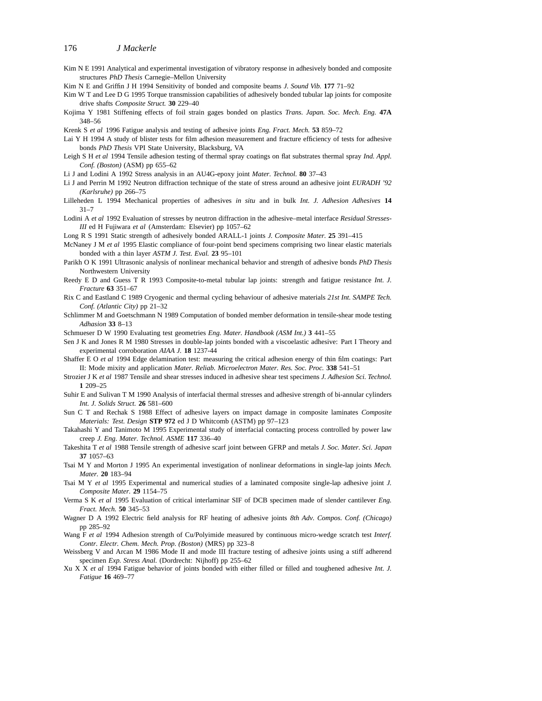- Kim N E 1991 Analytical and experimental investigation of vibratory response in adhesively bonded and composite structures *PhD Thesis* Carnegie–Mellon University
- Kim N E and Griffin J H 1994 Sensitivity of bonded and composite beams *J. Sound Vib.* **177** 71–92
- Kim W T and Lee D G 1995 Torque transmission capabilities of adhesively bonded tubular lap joints for composite drive shafts *Composite Struct.* **30** 229–40
- Kojima Y 1981 Stiffening effects of foil strain gages bonded on plastics *Trans. Japan. Soc. Mech. Eng.* **47A** 348–56
- Krenk S *et al* 1996 Fatigue analysis and testing of adhesive joints *Eng. Fract. Mech.* **53** 859–72
- Lai Y H 1994 A study of blister tests for film adhesion measurement and fracture efficiency of tests for adhesive bonds *PhD Thesis* VPI State University, Blacksburg, VA
- Leigh S H *et al* 1994 Tensile adhesion testing of thermal spray coatings on flat substrates thermal spray *Ind. Appl. Conf. (Boston)* (ASM) pp 655–62
- Li J and Lodini A 1992 Stress analysis in an AU4G-epoxy joint *Mater. Technol.* **80** 37–43
- Li J and Perrin M 1992 Neutron diffraction technique of the state of stress around an adhesive joint *EURADH '92 (Karlsruhe)* pp 266–75
- Lilleheden L 1994 Mechanical properties of adhesives *in situ* and in bulk *Int. J. Adhesion Adhesives* **14** 31–7
- Lodini A *et al* 1992 Evaluation of stresses by neutron diffraction in the adhesive–metal interface *Residual Stresses-III* ed H Fujiwara *et al* (Amsterdam: Elsevier) pp 1057–62
- Long R S 1991 Static strength of adhesively bonded ARALL-1 joints *J. Composite Mater.* **25** 391–415
- McNaney J M *et al* 1995 Elastic compliance of four-point bend specimens comprising two linear elastic materials bonded with a thin layer *ASTM J. Test. Eval.* **23** 95–101
- Parikh O K 1991 Ultrasonic analysis of nonlinear mechanical behavior and strength of adhesive bonds *PhD Thesis* Northwestern University
- Reedy E D and Guess T R 1993 Composite-to-metal tubular lap joints: strength and fatigue resistance *Int. J. Fracture* **63** 351–67
- Rix C and Eastland C 1989 Cryogenic and thermal cycling behaviour of adhesive materials *21st Int. SAMPE Tech. Conf. (Atlantic City)* pp 21–32
- Schlimmer M and Goetschmann N 1989 Computation of bonded member deformation in tensile-shear mode testing *Adhasion* **33** 8–13
- Schmueser D W 1990 Evaluating test geometries *Eng. Mater. Handbook (ASM Int.)* **3** 441–55
- Sen J K and Jones R M 1980 Stresses in double-lap joints bonded with a viscoelastic adhesive: Part I Theory and experimental corroboration *AIAA J.* **18** 1237-44
- Shaffer E O *et al* 1994 Edge delamination test: measuring the critical adhesion energy of thin film coatings: Part II: Mode mixity and application *Mater. Reliab. Microelectron Mater. Res. Soc. Proc.* **338** 541–51
- Strozier J K *et al* 1987 Tensile and shear stresses induced in adhesive shear test specimens *J. Adhesion Sci. Technol.* **1** 209–25
- Suhir E and Sulivan T M 1990 Analysis of interfacial thermal stresses and adhesive strength of bi-annular cylinders *Int. J. Solids Struct.* **26** 581–600
- Sun C T and Rechak S 1988 Effect of adhesive layers on impact damage in composite laminates *Composite Materials: Test. Design* **STP 972** ed J D Whitcomb (ASTM) pp 97–123
- Takahashi Y and Tanimoto M 1995 Experimental study of interfacial contacting process controlled by power law creep *J. Eng. Mater. Technol. ASME* **117** 336–40
- Takeshita T *et al* 1988 Tensile strength of adhesive scarf joint between GFRP and metals *J. Soc. Mater. Sci. Japan* **37** 1057–63
- Tsai M Y and Morton J 1995 An experimental investigation of nonlinear deformations in single-lap joints *Mech. Mater.* **20** 183–94
- Tsai M Y *et al* 1995 Experimental and numerical studies of a laminated composite single-lap adhesive joint *J. Composite Mater.* **29** 1154–75
- Verma S K *et al* 1995 Evaluation of critical interlaminar SIF of DCB specimen made of slender cantilever *Eng. Fract. Mech.* **50** 345–53
- Wagner D A 1992 Electric field analysis for RF heating of adhesive joints *8th Adv. Compos. Conf. (Chicago)* pp 285–92
- Wang F *et al* 1994 Adhesion strength of Cu/Polyimide measured by continuous micro-wedge scratch test *Interf. Contr. Electr. Chem. Mech. Prop. (Boston)* (MRS) pp 323–8
- Weissberg V and Arcan M 1986 Mode II and mode III fracture testing of adhesive joints using a stiff adherend specimen *Exp. Stress Anal.* (Dordrecht: Nijhoff) pp 255–62
- Xu X X *et al* 1994 Fatigue behavior of joints bonded with either filled or filled and toughened adhesive *Int. J. Fatigue* **16** 469–77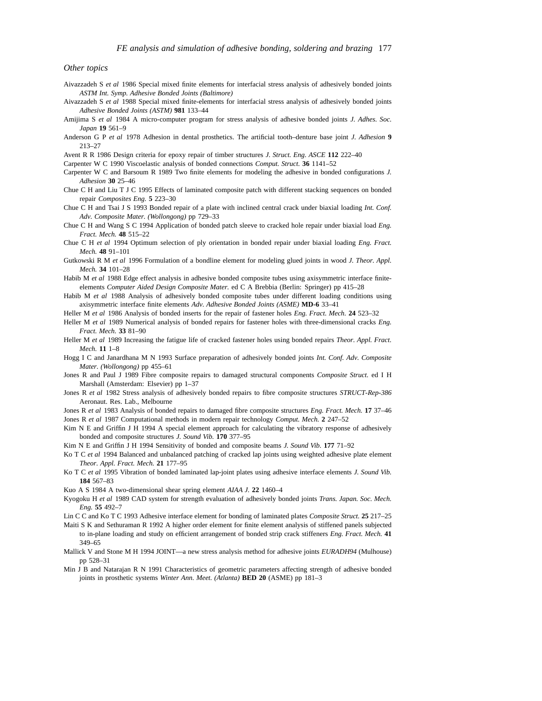#### *Other topics*

- Aivazzadeh S *et al* 1986 Special mixed finite elements for interfacial stress analysis of adhesively bonded joints *ASTM Int. Symp. Adhesive Bonded Joints (Baltimore)*
- Aivazzadeh S *et al* 1988 Special mixed finite-elements for interfacial stress analysis of adhesively bonded joints *Adhesive Bonded Joints (ASTM)* **981** 133–44
- Amijima S *et al* 1984 A micro-computer program for stress analysis of adhesive bonded joints *J. Adhes. Soc. Japan* **19** 561–9
- Anderson G P *et al* 1978 Adhesion in dental prosthetics. The artificial tooth–denture base joint *J. Adhesion* **9** 213–27

Avent R R 1986 Design criteria for epoxy repair of timber structures *J. Struct. Eng. ASCE* **112** 222–40

Carpenter W C 1990 Viscoelastic analysis of bonded connections *Comput. Struct.* **36** 1141–52

- Carpenter W C and Barsoum R 1989 Two finite elements for modeling the adhesive in bonded configurations *J. Adhesion* **30** 25–46
- Chue C H and Liu T J C 1995 Effects of laminated composite patch with different stacking sequences on bonded repair *Composites Eng.* **5** 223–30
- Chue C H and Tsai J S 1993 Bonded repair of a plate with inclined central crack under biaxial loading *Int. Conf. Adv. Composite Mater. (Wollongong)* pp 729–33
- Chue C H and Wang S C 1994 Application of bonded patch sleeve to cracked hole repair under biaxial load *Eng. Fract. Mech.* **48** 515–22
- Chue C H *et al* 1994 Optimum selection of ply orientation in bonded repair under biaxial loading *Eng. Fract. Mech.* **48** 91–101
- Gutkowski R M *et al* 1996 Formulation of a bondline element for modeling glued joints in wood *J. Theor. Appl. Mech.* **34** 101–28
- Habib M *et al* 1988 Edge effect analysis in adhesive bonded composite tubes using axisymmetric interface finiteelements *Computer Aided Design Composite Mater.* ed C A Brebbia (Berlin: Springer) pp 415–28
- Habib M *et al* 1988 Analysis of adhesively bonded composite tubes under different loading conditions using axisymmetric interface finite elements *Adv. Adhesive Bonded Joints (ASME)* **MD-6** 33–41
- Heller M *et al* 1986 Analysis of bonded inserts for the repair of fastener holes *Eng. Fract. Mech.* **24** 523–32
- Heller M *et al* 1989 Numerical analysis of bonded repairs for fastener holes with three-dimensional cracks *Eng. Fract. Mech.* **33** 81–90
- Heller M *et al* 1989 Increasing the fatigue life of cracked fastener holes using bonded repairs *Theor. Appl. Fract. Mech.* **11** 1–8
- Hogg I C and Janardhana M N 1993 Surface preparation of adhesively bonded joints *Int. Conf. Adv. Composite Mater. (Wollongong)* pp 455–61
- Jones R and Paul J 1989 Fibre composite repairs to damaged structural components *Composite Struct.* ed I H Marshall (Amsterdam: Elsevier) pp 1–37
- Jones R *et al* 1982 Stress analysis of adhesively bonded repairs to fibre composite structures *STRUCT-Rep-386* Aeronaut. Res. Lab., Melbourne
- Jones R *et al* 1983 Analysis of bonded repairs to damaged fibre composite structures *Eng. Fract. Mech.* **17** 37–46 Jones R *et al* 1987 Computational methods in modern repair technology *Comput. Mech.* **2** 247–52
- Kim N E and Griffin J H 1994 A special element approach for calculating the vibratory response of adhesively bonded and composite structures *J. Sound Vib.* **170** 377–95
- Kim N E and Griffin J H 1994 Sensitivity of bonded and composite beams *J. Sound Vib.* **177** 71–92
- Ko T C *et al* 1994 Balanced and unbalanced patching of cracked lap joints using weighted adhesive plate element *Theor. Appl. Fract. Mech.* **21** 177–95
- Ko T C *et al* 1995 Vibration of bonded laminated lap-joint plates using adhesive interface elements *J. Sound Vib.* **184** 567–83
- Kuo A S 1984 A two-dimensional shear spring element *AIAA J.* **22** 1460–4
- Kyogoku H *et al* 1989 CAD system for strength evaluation of adhesively bonded joints *Trans. Japan. Soc. Mech. Eng.* **55** 492–7
- Lin C C and Ko T C 1993 Adhesive interface element for bonding of laminated plates *Composite Struct.* **25** 217–25
- Maiti S K and Sethuraman R 1992 A higher order element for finite element analysis of stiffened panels subjected to in-plane loading and study on efficient arrangement of bonded strip crack stiffeners *Eng. Fract. Mech.* **41** 349–65
- Mallick V and Stone M H 1994 JOINT—a new stress analysis method for adhesive joints *EURADH94* (Mulhouse) pp 528–31
- Min J B and Natarajan R N 1991 Characteristics of geometric parameters affecting strength of adhesive bonded joints in prosthetic systems *Winter Ann. Meet. (Atlanta)* **BED 20** (ASME) pp 181–3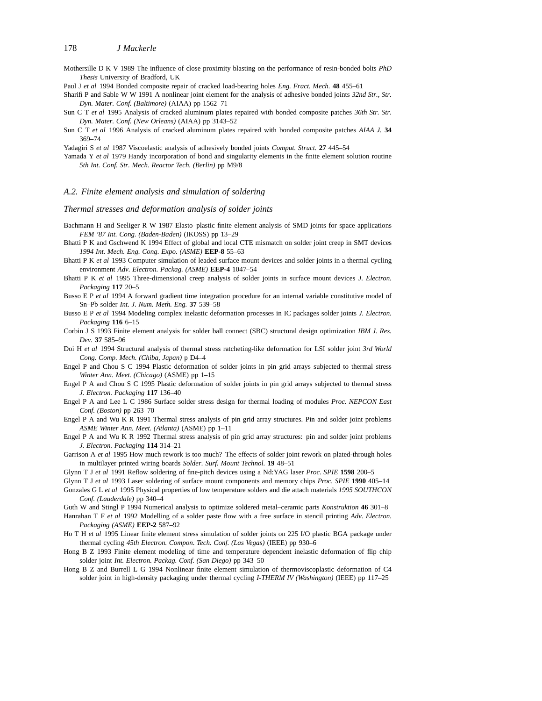MothersilleDKV 1989 The influence of close proximity blasting on the performance of resin-bonded bolts *PhD Thesis* University of Bradford, UK

Paul J *et al* 1994 Bonded composite repair of cracked load-bearing holes *Eng. Fract. Mech.* **48** 455–61

- Sharifi P and Sable W W 1991 A nonlinear joint element for the analysis of adhesive bonded joints *32nd Str., Str. Dyn. Mater. Conf. (Baltimore)* (AIAA) pp 1562–71
- Sun C T *et al* 1995 Analysis of cracked aluminum plates repaired with bonded composite patches *36th Str. Str. Dyn. Mater. Conf. (New Orleans)* (AIAA) pp 3143–52
- Sun C T *et al* 1996 Analysis of cracked aluminum plates repaired with bonded composite patches *AIAA J.* **34** 369–74

Yadagiri S *et al* 1987 Viscoelastic analysis of adhesively bonded joints *Comput. Struct.* **27** 445–54

Yamada Y *et al* 1979 Handy incorporation of bond and singularity elements in the finite element solution routine *5th Int. Conf. Str. Mech. Reactor Tech. (Berlin)* pp M9/8

#### *A.2. Finite element analysis and simulation of soldering*

*Thermal stresses and deformation analysis of solder joints*

- Bachmann H and Seeliger R W 1987 Elasto–plastic finite element analysis of SMD joints for space applications *FEM '87 Int. Cong. (Baden-Baden)* (IKOSS) pp 13–29
- Bhatti P K and Gschwend K 1994 Effect of global and local CTE mismatch on solder joint creep in SMT devices *1994 Int. Mech. Eng. Cong. Expo. (ASME)* **EEP-8** 55–63
- Bhatti P K *et al* 1993 Computer simulation of leaded surface mount devices and solder joints in a thermal cycling environment *Adv. Electron. Packag. (ASME)* **EEP-4** 1047–54
- Bhatti P K *et al* 1995 Three-dimensional creep analysis of solder joints in surface mount devices *J. Electron. Packaging* **117** 20–5
- Busso E P *et al* 1994 A forward gradient time integration procedure for an internal variable constitutive model of Sn–Pb solder *Int. J. Num. Meth. Eng.* **37** 539–58
- Busso E P *et al* 1994 Modeling complex inelastic deformation processes in IC packages solder joints *J. Electron. Packaging* **116** 6–15
- Corbin J S 1993 Finite element analysis for solder ball connect (SBC) structural design optimization *IBM J. Res. Dev.* **37** 585–96
- Doi H *et al* 1994 Structural analysis of thermal stress ratcheting-like deformation for LSI solder joint *3rd World Cong. Comp. Mech. (Chiba, Japan)* p D4–4
- Engel P and Chou S C 1994 Plastic deformation of solder joints in pin grid arrays subjected to thermal stress *Winter Ann. Meet. (Chicago)* (ASME) pp 1–15
- Engel P A and Chou S C 1995 Plastic deformation of solder joints in pin grid arrays subjected to thermal stress *J. Electron. Packaging* **117** 136–40
- Engel P A and Lee L C 1986 Surface solder stress design for thermal loading of modules *Proc. NEPCON East Conf. (Boston)* pp 263–70
- Engel P A and Wu K R 1991 Thermal stress analysis of pin grid array structures. Pin and solder joint problems *ASME Winter Ann. Meet. (Atlanta)* (ASME) pp 1–11
- Engel P A and Wu K R 1992 Thermal stress analysis of pin grid array structures: pin and solder joint problems *J. Electron. Packaging* **114** 314–21
- Garrison A *et al* 1995 How much rework is too much? The effects of solder joint rework on plated-through holes in multilayer printed wiring boards *Solder. Surf. Mount Technol.* **19** 48–51
- Glynn T J *et al* 1991 Reflow soldering of fine-pitch devices using a Nd:YAG laser *Proc. SPIE* **1598** 200–5
- Glynn T J *et al* 1993 Laser soldering of surface mount components and memory chips *Proc. SPIE* **1990** 405–14 Gonzales G L *et al* 1995 Physical properties of low temperature solders and die attach materials *1995 SOUTHCON Conf. (Lauderdale)* pp 340–4

Guth W and Stingl P 1994 Numerical analysis to optimize soldered metal–ceramic parts *Konstruktion* **46** 301–8 Hanrahan T F *et al* 1992 Modelling of a solder paste flow with a free surface in stencil printing *Adv. Electron. Packaging (ASME)* **EEP-2** 587–92

- Ho T H *et al* 1995 Linear finite element stress simulation of solder joints on 225 I/O plastic BGA package under thermal cycling *45th Electron. Compon. Tech. Conf. (Las Vegas)* (IEEE) pp 930–6
- Hong B Z 1993 Finite element modeling of time and temperature dependent inelastic deformation of flip chip solder joint *Int. Electron. Packag. Conf. (San Diego)* pp 343–50
- Hong B Z and Burrell L G 1994 Nonlinear finite element simulation of thermoviscoplastic deformation of C4 solder joint in high-density packaging under thermal cycling *I-THERM IV (Washington)* (IEEE) pp 117–25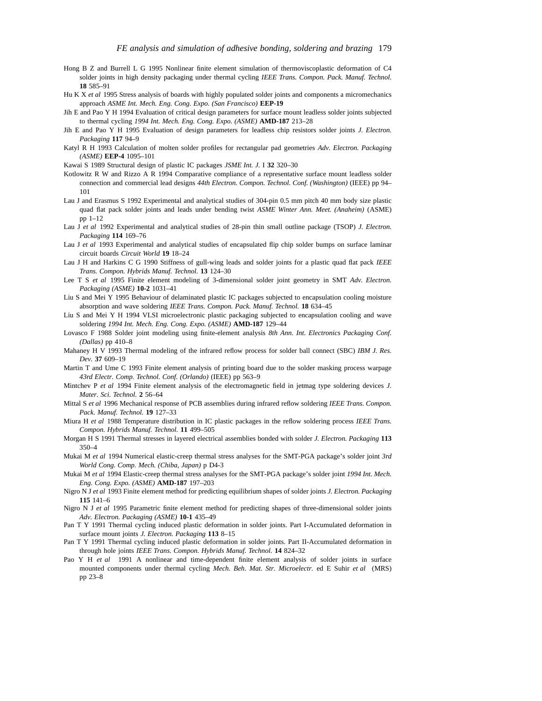- Hong B Z and Burrell L G 1995 Nonlinear finite element simulation of thermoviscoplastic deformation of C4 solder joints in high density packaging under thermal cycling *IEEE Trans. Compon. Pack. Manuf. Technol.* **18** 585–91
- Hu K X *et al* 1995 Stress analysis of boards with highly populated solder joints and components a micromechanics approach *ASME Int. Mech. Eng. Cong. Expo. (San Francisco)* **EEP-19**
- Jih E and Pao Y H 1994 Evaluation of critical design parameters for surface mount leadless solder joints subjected to thermal cycling *1994 Int. Mech. Eng. Cong. Expo. (ASME)* **AMD-187** 213–28
- Jih E and Pao Y H 1995 Evaluation of design parameters for leadless chip resistors solder joints *J. Electron. Packaging* **117** 94–9
- Katyl R H 1993 Calculation of molten solder profiles for rectangular pad geometries *Adv. Electron. Packaging (ASME)* **EEP-4** 1095–101
- Kawai S 1989 Structural design of plastic IC packages *JSME Int. J.* I **32** 320–30
- Kotlowitz R W and Rizzo A R 1994 Comparative compliance of a representative surface mount leadless solder connection and commercial lead designs *44th Electron. Compon. Technol. Conf. (Washington)* (IEEE) pp 94– 101
- Lau J and Erasmus S 1992 Experimental and analytical studies of 304-pin 0.5 mm pitch 40 mm body size plastic quad flat pack solder joints and leads under bending twist *ASME Winter Ann. Meet. (Anaheim)* (ASME) pp 1–12
- Lau J *et al* 1992 Experimental and analytical studies of 28-pin thin small outline package (TSOP) *J. Electron. Packaging* **114** 169–76
- Lau J *et al* 1993 Experimental and analytical studies of encapsulated flip chip solder bumps on surface laminar circuit boards *Circuit World* **19** 18–24
- Lau J H and Harkins C G 1990 Stiffness of gull-wing leads and solder joints for a plastic quad flat pack *IEEE Trans. Compon. Hybrids Manuf. Technol.* **13** 124–30
- Lee T S *et al* 1995 Finite element modeling of 3-dimensional solder joint geometry in SMT *Adv. Electron. Packaging (ASME)* **10-2** 1031–41
- Liu S and Mei Y 1995 Behaviour of delaminated plastic IC packages subjected to encapsulation cooling moisture absorption and wave soldering *IEEE Trans. Compon. Pack. Manuf. Technol.* **18** 634–45
- Liu S and Mei Y H 1994 VLSI microelectronic plastic packaging subjected to encapsulation cooling and wave soldering *1994 Int. Mech. Eng. Cong. Expo. (ASME)* **AMD-187** 129–44
- Lovasco F 1988 Solder joint modeling using finite-element analysis *8th Ann. Int. Electronics Packaging Conf. (Dallas)* pp 410–8
- Mahaney H V 1993 Thermal modeling of the infrared reflow process for solder ball connect (SBC) *IBM J. Res. Dev.* **37** 609–19
- Martin T and Ume C 1993 Finite element analysis of printing board due to the solder masking process warpage *43rd Electr. Comp. Technol. Conf. (Orlando)* (IEEE) pp 563–9
- Mintchev P *et al* 1994 Finite element analysis of the electromagnetic field in jetmag type soldering devices *J. Mater. Sci. Technol.* **2** 56–64
- Mittal S *et al* 1996 Mechanical response of PCB assemblies during infrared reflow soldering *IEEE Trans. Compon. Pack. Manuf. Technol.* **19** 127–33
- Miura H *et al* 1988 Temperature distribution in IC plastic packages in the reflow soldering process *IEEE Trans. Compon. Hybrids Manuf. Technol.* **11** 499–505
- Morgan H S 1991 Thermal stresses in layered electrical assemblies bonded with solder *J. Electron. Packaging* **113** 350–4
- Mukai M *et al* 1994 Numerical elastic-creep thermal stress analyses for the SMT-PGA package's solder joint *3rd World Cong. Comp. Mech. (Chiba, Japan)* p D4-3
- Mukai M *et al* 1994 Elastic-creep thermal stress analyses for the SMT-PGA package's solder joint *1994 Int. Mech. Eng. Cong. Expo. (ASME)* **AMD-187** 197–203
- Nigro N J *et al* 1993 Finite element method for predicting equilibrium shapes of solder joints *J. Electron. Packaging* **115** 141–6
- Nigro N J *et al* 1995 Parametric finite element method for predicting shapes of three-dimensional solder joints *Adv. Electron. Packaging (ASME)* **10-1** 435–49
- Pan T Y 1991 Thermal cycling induced plastic deformation in solder joints. Part I-Accumulated deformation in surface mount joints *J. Electron. Packaging* **113** 8–15
- Pan T Y 1991 Thermal cycling induced plastic deformation in solder joints. Part II-Accumulated deformation in through hole joints *IEEE Trans. Compon. Hybrids Manuf. Technol.* **14** 824–32
- Pao Y H *et al* 1991 A nonlinear and time-dependent finite element analysis of solder joints in surface mounted components under thermal cycling *Mech. Beh. Mat. Str. Microelectr.* ed E Suhir *et al* (MRS) pp 23–8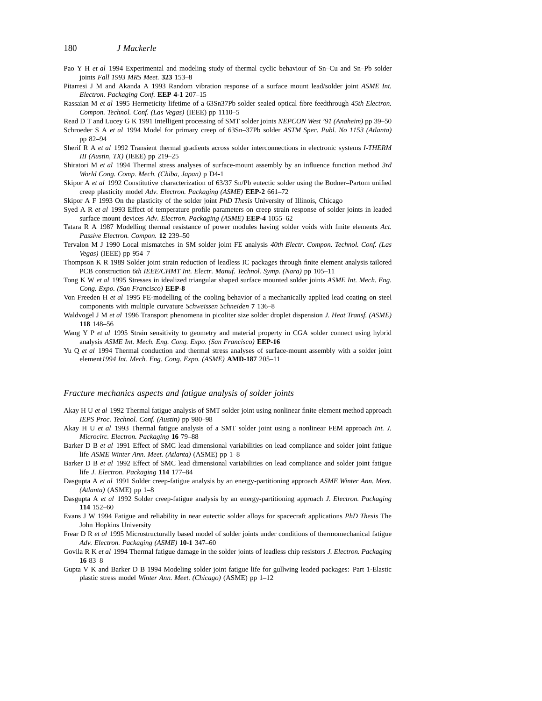Pao Y H *et al* 1994 Experimental and modeling study of thermal cyclic behaviour of Sn–Cu and Sn–Pb solder joints *Fall 1993 MRS Meet.* **323** 153–8

- Pitarresi J M and Akanda A 1993 Random vibration response of a surface mount lead/solder joint *ASME Int. Electron. Packaging Conf.* **EEP 4-1** 207–15
- Rassaian M *et al* 1995 Hermeticity lifetime of a 63Sn37Pb solder sealed optical fibre feedthrough *45th Electron. Compon. Technol. Conf. (Las Vegas)* (IEEE) pp 1110–5

Read D T and Lucey G K 1991 Intelligent processing of SMT solder joints *NEPCON West '91 (Anaheim)* pp 39–50

Schroeder S A *et al* 1994 Model for primary creep of 63Sn–37Pb solder *ASTM Spec. Publ. No 1153 (Atlanta)* pp 82–94

- Sherif R A *et al* 1992 Transient thermal gradients across solder interconnections in electronic systems *I-THERM III (Austin, TX)* (IEEE) pp 219–25
- Shiratori M *et al* 1994 Thermal stress analyses of surface-mount assembly by an influence function method *3rd World Cong. Comp. Mech. (Chiba, Japan)* p D4-1
- Skipor A *et al* 1992 Constitutive characterization of 63/37 Sn/Pb eutectic solder using the Bodner–Partom unified creep plasticity model *Adv. Electron. Packaging (ASME)* **EEP-2** 661–72

Skipor A F 1993 On the plasticity of the solder joint *PhD Thesis* University of Illinois, Chicago

- Syed A R *et al* 1993 Effect of temperature profile parameters on creep strain response of solder joints in leaded surface mount devices *Adv. Electron. Packaging (ASME)* **EEP-4** 1055–62
- Tatara R A 1987 Modelling thermal resistance of power modules having solder voids with finite elements *Act. Passive Electron. Compon.* **12** 239–50
- Tervalon M J 1990 Local mismatches in SM solder joint FE analysis *40th Electr. Compon. Technol. Conf. (Las Vegas)* (IEEE) pp 954–7
- Thompson K R 1989 Solder joint strain reduction of leadless IC packages through finite element analysis tailored PCB construction *6th IEEE/CHMT Int. Electr. Manuf. Technol. Symp. (Nara)* pp 105–11
- Tong K W *et al* 1995 Stresses in idealized triangular shaped surface mounted solder joints *ASME Int. Mech. Eng. Cong. Expo. (San Francisco)* **EEP-8**
- Von Freeden H *et al* 1995 FE-modelling of the cooling behavior of a mechanically applied lead coating on steel components with multiple curvature *Schweissen Schneiden* **7** 136–8
- Waldvogel J M *et al* 1996 Transport phenomena in picoliter size solder droplet dispension *J. Heat Transf. (ASME)* **118** 148–56
- Wang Y P *et al* 1995 Strain sensitivity to geometry and material property in CGA solder connect using hybrid analysis *ASME Int. Mech. Eng. Cong. Expo. (San Francisco)* **EEP-16**
- Yu Q *et al* 1994 Thermal conduction and thermal stress analyses of surface-mount assembly with a solder joint element*1994 Int. Mech. Eng. Cong. Expo. (ASME)* **AMD-187** 205–11

#### *Fracture mechanics aspects and fatigue analysis of solder joints*

- Akay H U *et al* 1992 Thermal fatigue analysis of SMT solder joint using nonlinear finite element method approach *IEPS Proc. Technol. Conf. (Austin)* pp 980–98
- Akay H U *et al* 1993 Thermal fatigue analysis of a SMT solder joint using a nonlinear FEM approach *Int. J. Microcirc. Electron. Packaging* **16** 79–88
- Barker D B *et al* 1991 Effect of SMC lead dimensional variabilities on lead compliance and solder joint fatigue life *ASME Winter Ann. Meet. (Atlanta)* (ASME) pp 1–8
- Barker D B *et al* 1992 Effect of SMC lead dimensional variabilities on lead compliance and solder joint fatigue life *J. Electron. Packaging* **114** 177–84
- Dasgupta A *et al* 1991 Solder creep-fatigue analysis by an energy-partitioning approach *ASME Winter Ann. Meet. (Atlanta)* (ASME) pp 1–8
- Dasgupta A *et al* 1992 Solder creep-fatigue analysis by an energy-partitioning approach *J. Electron. Packaging* **114** 152–60
- Evans J W 1994 Fatigue and reliability in near eutectic solder alloys for spacecraft applications *PhD Thesis* The John Hopkins University
- Frear D R *et al* 1995 Microstructurally based model of solder joints under conditions of thermomechanical fatigue *Adv. Electron. Packaging (ASME)* **10-1** 347–60
- Govila R K *et al* 1994 Thermal fatigue damage in the solder joints of leadless chip resistors *J. Electron. Packaging* **16** 83–8
- Gupta V K and Barker D B 1994 Modeling solder joint fatigue life for gullwing leaded packages: Part 1-Elastic plastic stress model *Winter Ann. Meet. (Chicago)* (ASME) pp 1–12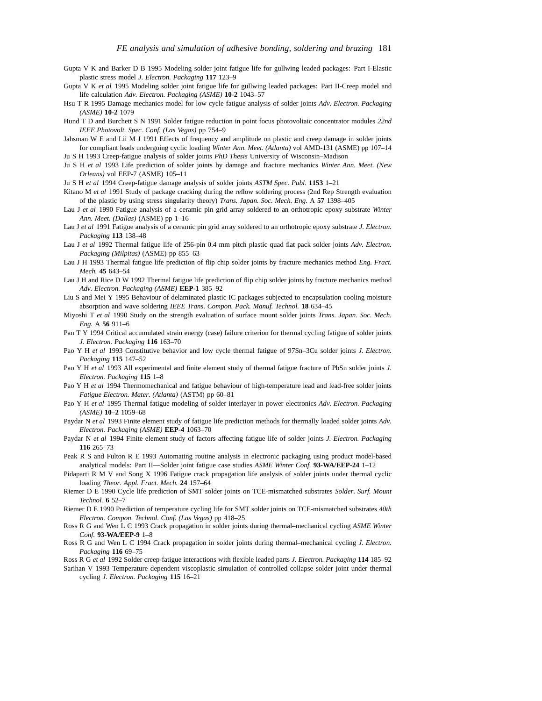- Gupta V K and Barker D B 1995 Modeling solder joint fatigue life for gullwing leaded packages: Part I-Elastic plastic stress model *J. Electron. Packaging* **117** 123–9
- Gupta V K *et al* 1995 Modeling solder joint fatigue life for gullwing leaded packages: Part II-Creep model and life calculation *Adv. Electron. Packaging (ASME)* **10-2** 1043–57
- Hsu T R 1995 Damage mechanics model for low cycle fatigue analysis of solder joints *Adv. Electron. Packaging (ASME)* **10-2** 1079
- Hund T D and Burchett S N 1991 Solder fatigue reduction in point focus photovoltaic concentrator modules *22nd IEEE Photovolt. Spec. Conf. (Las Vegas)* pp 754–9
- Jahsman W E and Lii M J 1991 Effects of frequency and amplitude on plastic and creep damage in solder joints for compliant leads undergoing cyclic loading *Winter Ann. Meet. (Atlanta)* vol AMD-131 (ASME) pp 107–14 Ju S H 1993 Creep-fatigue analysis of solder joints *PhD Thesis* University of Wisconsin–Madison
- Ju S H *et al* 1993 Life prediction of solder joints by damage and fracture mechanics *Winter Ann. Meet. (New Orleans)* vol EEP-7 (ASME) 105–11

Ju S H *et al* 1994 Creep-fatigue damage analysis of solder joints *ASTM Spec. Publ.* **1153** 1–21

- Kitano M *et al* 1991 Study of package cracking during the reflow soldering process (2nd Rep Strength evaluation of the plastic by using stress singularity theory) *Trans. Japan. Soc. Mech. Eng.* A **57** 1398–405
- Lau J *et al* 1990 Fatigue analysis of a ceramic pin grid array soldered to an orthotropic epoxy substrate *Winter Ann. Meet. (Dallas)* (ASME) pp 1–16
- Lau J *et al* 1991 Fatigue analysis of a ceramic pin grid array soldered to an orthotropic epoxy substrate *J. Electron. Packaging* **113** 138–48
- Lau J *et al* 1992 Thermal fatigue life of 256-pin 0.4 mm pitch plastic quad flat pack solder joints *Adv. Electron. Packaging (Milpitas)* (ASME) pp 855–63
- Lau J H 1993 Thermal fatigue life prediction of flip chip solder joints by fracture mechanics method *Eng. Fract. Mech.* **45** 643–54
- Lau J H and Rice D W 1992 Thermal fatigue life prediction of flip chip solder joints by fracture mechanics method *Adv. Electron. Packaging (ASME)* **EEP-1** 385–92
- Liu S and Mei Y 1995 Behaviour of delaminated plastic IC packages subjected to encapsulation cooling moisture absorption and wave soldering *IEEE Trans. Compon. Pack. Manuf. Technol.* **18** 634–45
- Miyoshi T *et al* 1990 Study on the strength evaluation of surface mount solder joints *Trans. Japan. Soc. Mech. Eng.* A **56** 911–6
- Pan T Y 1994 Critical accumulated strain energy (case) failure criterion for thermal cycling fatigue of solder joints *J. Electron. Packaging* **116** 163–70
- Pao Y H *et al* 1993 Constitutive behavior and low cycle thermal fatigue of 97Sn–3Cu solder joints *J. Electron. Packaging* **115** 147–52
- Pao Y H *et al* 1993 All experimental and finite element study of thermal fatigue fracture of PbSn solder joints *J. Electron. Packaging* **115** 1–8
- Pao Y H *et al* 1994 Thermomechanical and fatigue behaviour of high-temperature lead and lead-free solder joints *Fatigue Electron. Mater. (Atlanta)* (ASTM) pp 60–81
- Pao Y H *et al* 1995 Thermal fatigue modeling of solder interlayer in power electronics *Adv. Electron. Packaging (ASME)* **10–2** 1059–68
- Paydar N *et al* 1993 Finite element study of fatigue life prediction methods for thermally loaded solder joints *Adv. Electron. Packaging (ASME)* **EEP-4** 1063–70
- Paydar N *et al* 1994 Finite element study of factors affecting fatigue life of solder joints *J. Electron. Packaging* **116** 265–73
- Peak R S and Fulton R E 1993 Automating routine analysis in electronic packaging using product model-based analytical models: Part II—Solder joint fatigue case studies *ASME Winter Conf.* **93-WA/EEP-24** 1–12
- Pidaparti R M V and Song X 1996 Fatigue crack propagation life analysis of solder joints under thermal cyclic loading *Theor. Appl. Fract. Mech.* **24** 157–64
- Riemer D E 1990 Cycle life prediction of SMT solder joints on TCE-mismatched substrates *Solder. Surf. Mount Technol.* **6** 52–7
- Riemer D E 1990 Prediction of temperature cycling life for SMT solder joints on TCE-mismatched substrates *40th Electron. Compon. Technol. Conf. (Las Vegas)* pp 418–25
- Ross R G and Wen L C 1993 Crack propagation in solder joints during thermal–mechanical cycling *ASME Winter Conf.* **93-WA/EEP-9** 1–8
- Ross R G and Wen L C 1994 Crack propagation in solder joints during thermal–mechanical cycling *J. Electron. Packaging* **116** 69–75

Ross R G *et al* 1992 Solder creep-fatigue interactions with flexible leaded parts *J. Electron. Packaging* **114** 185–92

Sarihan V 1993 Temperature dependent viscoplastic simulation of controlled collapse solder joint under thermal cycling *J. Electron. Packaging* **115** 16–21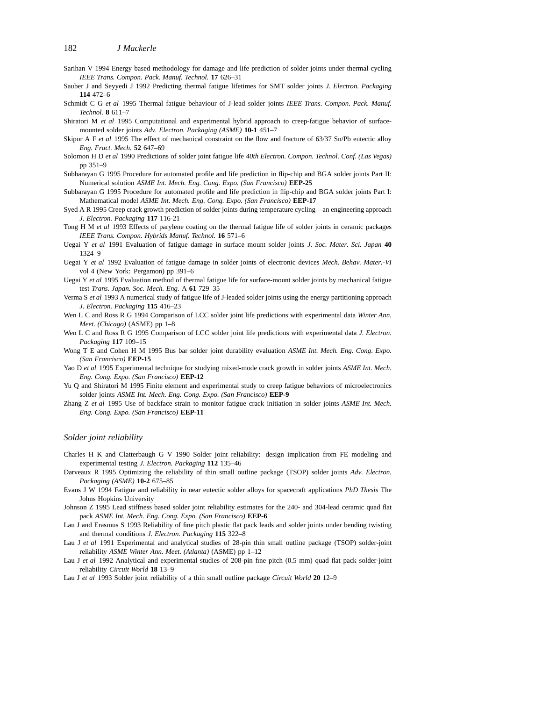- Sarihan V 1994 Energy based methodology for damage and life prediction of solder joints under thermal cycling *IEEE Trans. Compon. Pack. Manuf. Technol.* **17** 626–31
- Sauber J and Seyyedi J 1992 Predicting thermal fatigue lifetimes for SMT solder joints *J. Electron. Packaging* **114** 472–6
- Schmidt C G *et al* 1995 Thermal fatigue behaviour of J-lead solder joints *IEEE Trans. Compon. Pack. Manuf. Technol.* **8** 611–7
- Shiratori M *et al* 1995 Computational and experimental hybrid approach to creep-fatigue behavior of surfacemounted solder joints *Adv. Electron. Packaging (ASME)* **10-1** 451–7
- Skipor A F *et al* 1995 The effect of mechanical constraint on the flow and fracture of 63/37 Sn/Pb eutectic alloy *Eng. Fract. Mech.* **52** 647–69
- Solomon H D *et al* 1990 Predictions of solder joint fatigue life *40th Electron. Compon. Technol. Conf. (Las Vegas)* pp 351–9
- Subbarayan G 1995 Procedure for automated profile and life prediction in flip-chip and BGA solder joints Part II: Numerical solution *ASME Int. Mech. Eng. Cong. Expo. (San Francisco)* **EEP-25**
- Subbarayan G 1995 Procedure for automated profile and life prediction in flip-chip and BGA solder joints Part I: Mathematical model *ASME Int. Mech. Eng. Cong. Expo. (San Francisco)* **EEP-17**
- Syed A R 1995 Creep crack growth prediction of solder joints during temperature cycling—an engineering approach *J. Electron. Packaging* **117** 116-21
- Tong H M *et al* 1993 Effects of parylene coating on the thermal fatigue life of solder joints in ceramic packages *IEEE Trans. Compon. Hybrids Manuf. Technol.* **16** 571–6
- Uegai Y *et al* 1991 Evaluation of fatigue damage in surface mount solder joints *J. Soc. Mater. Sci. Japan* **40** 1324–9
- Uegai Y *et al* 1992 Evaluation of fatigue damage in solder joints of electronic devices *Mech. Behav. Mater.-VI* vol 4 (New York: Pergamon) pp 391–6
- Uegai Y *et al* 1995 Evaluation method of thermal fatigue life for surface-mount solder joints by mechanical fatigue test *Trans. Japan. Soc. Mech. Eng.* A **61** 729–35
- Verma S *et al* 1993 A numerical study of fatigue life of J-leaded solder joints using the energy partitioning approach *J. Electron. Packaging* **115** 416–23
- Wen L C and Ross R G 1994 Comparison of LCC solder joint life predictions with experimental data *Winter Ann. Meet. (Chicago)* (ASME) pp 1–8
- Wen L C and Ross R G 1995 Comparison of LCC solder joint life predictions with experimental data *J. Electron. Packaging* **117** 109–15
- Wong T E and Cohen H M 1995 Bus bar solder joint durability evaluation *ASME Int. Mech. Eng. Cong. Expo. (San Francisco)* **EEP-15**
- Yao D *et al* 1995 Experimental technique for studying mixed-mode crack growth in solder joints *ASME Int. Mech. Eng. Cong. Expo. (San Francisco)* **EEP-12**
- Yu Q and Shiratori M 1995 Finite element and experimental study to creep fatigue behaviors of microelectronics solder joints *ASME Int. Mech. Eng. Cong. Expo. (San Francisco)* **EEP-9**
- Zhang Z *et al* 1995 Use of backface strain to monitor fatigue crack initiation in solder joints *ASME Int. Mech. Eng. Cong. Expo. (San Francisco)* **EEP-11**

#### *Solder joint reliability*

- Charles H K and Clatterbaugh G V 1990 Solder joint reliability: design implication from FE modeling and experimental testing *J. Electron. Packaging* **112** 135–46
- Darveaux R 1995 Optimizing the reliability of thin small outline package (TSOP) solder joints *Adv. Electron. Packaging (ASME)* **10-2** 675–85
- Evans J W 1994 Fatigue and reliability in near eutectic solder alloys for spacecraft applications *PhD Thesis* The Johns Hopkins University
- Johnson Z 1995 Lead stiffness based solder joint reliability estimates for the 240- and 304-lead ceramic quad flat pack *ASME Int. Mech. Eng. Cong. Expo. (San Francisco)* **EEP-6**
- Lau J and Erasmus S 1993 Reliability of fine pitch plastic flat pack leads and solder joints under bending twisting and thermal conditions *J. Electron. Packaging* **115** 322–8
- Lau J *et al* 1991 Experimental and analytical studies of 28-pin thin small outline package (TSOP) solder-joint reliability *ASME Winter Ann. Meet. (Atlanta)* (ASME) pp 1–12
- Lau J *et al* 1992 Analytical and experimental studies of 208-pin fine pitch (0.5 mm) quad flat pack solder-joint reliability *Circuit World* **18** 13–9
- Lau J *et al* 1993 Solder joint reliability of a thin small outline package *Circuit World* **20** 12–9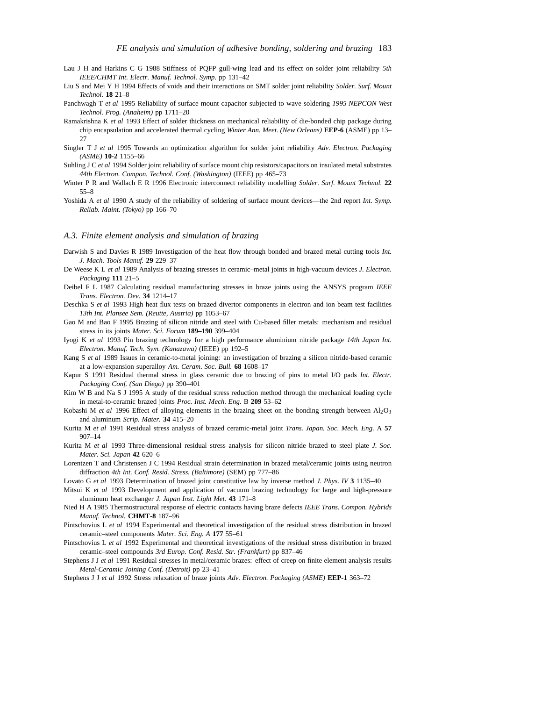- Lau J H and Harkins C G 1988 Stiffness of PQFP gull-wing lead and its effect on solder joint reliability *5th IEEE/CHMT Int. Electr. Manuf. Technol. Symp.* pp 131–42
- Liu S and Mei Y H 1994 Effects of voids and their interactions on SMT solder joint reliability *Solder. Surf. Mount Technol.* **18** 21–8
- Panchwagh T *et al* 1995 Reliability of surface mount capacitor subjected to wave soldering *1995 NEPCON West Technol. Prog. (Anaheim)* pp 1711–20
- Ramakrishna K *et al* 1993 Effect of solder thickness on mechanical reliability of die-bonded chip package during chip encapsulation and accelerated thermal cycling *Winter Ann. Meet. (New Orleans)* **EEP-6** (ASME) pp 13– 27
- Singler T J *et al* 1995 Towards an optimization algorithm for solder joint reliability *Adv. Electron. Packaging (ASME)* **10-2** 1155–66
- Suhling J C *et al* 1994 Solder joint reliability of surface mount chip resistors/capacitors on insulated metal substrates *44th Electron. Compon. Technol. Conf. (Washington)* (IEEE) pp 465–73
- Winter P R and Wallach E R 1996 Electronic interconnect reliability modelling *Solder. Surf. Mount Technol.* **22** 55–8
- Yoshida A *et al* 1990 A study of the reliability of soldering of surface mount devices—the 2nd report *Int. Symp. Reliab. Maint. (Tokyo)* pp 166–70

#### *A.3. Finite element analysis and simulation of brazing*

- Darwish S and Davies R 1989 Investigation of the heat flow through bonded and brazed metal cutting tools *Int. J. Mach. Tools Manuf.* **29** 229–37
- De Weese K L *et al* 1989 Analysis of brazing stresses in ceramic–metal joints in high-vacuum devices *J. Electron. Packaging* **111** 21–5
- Deibel F L 1987 Calculating residual manufacturing stresses in braze joints using the ANSYS program *IEEE Trans. Electron. Dev.* **34** 1214–17
- Deschka S *et al* 1993 High heat flux tests on brazed divertor components in electron and ion beam test facilities *13th Int. Plansee Sem. (Reutte, Austria)* pp 1053–67
- Gao M and Bao F 1995 Brazing of silicon nitride and steel with Cu-based filler metals: mechanism and residual stress in its joints *Mater. Sci. Forum* **189–190** 399–404
- Iyogi K *et al* 1993 Pin brazing technology for a high performance aluminium nitride package *14th Japan Int. Electron. Manuf. Tech. Sym. (Kanazawa)* (IEEE) pp 192–5
- Kang S *et al* 1989 Issues in ceramic-to-metal joining: an investigation of brazing a silicon nitride-based ceramic at a low-expansion superalloy *Am. Ceram. Soc. Bull.* **68** 1608–17
- Kapur S 1991 Residual thermal stress in glass ceramic due to brazing of pins to metal I/O pads *Int. Electr. Packaging Conf. (San Diego)* pp 390–401
- Kim W B and Na S J 1995 A study of the residual stress reduction method through the mechanical loading cycle in metal-to-ceramic brazed joints *Proc. Inst. Mech. Eng.* B **209** 53–62
- Kobashi M *et al* 1996 Effect of alloying elements in the brazing sheet on the bonding strength between Al<sub>2</sub>O<sub>3</sub> and aluminum *Scrip. Mater.* **34** 415–20
- Kurita M *et al* 1991 Residual stress analysis of brazed ceramic-metal joint *Trans. Japan. Soc. Mech. Eng.* A **57** 907–14
- Kurita M *et al* 1993 Three-dimensional residual stress analysis for silicon nitride brazed to steel plate *J. Soc. Mater. Sci. Japan* **42** 620–6
- Lorentzen T and Christensen J C 1994 Residual strain determination in brazed metal/ceramic joints using neutron diffraction *4th Int. Conf. Resid. Stress. (Baltimore)* (SEM) pp 777–86
- Lovato G *et al* 1993 Determination of brazed joint constitutive law by inverse method *J. Phys. IV* **3** 1135–40
- Mitsui K *et al* 1993 Development and application of vacuum brazing technology for large and high-pressure aluminum heat exchanger *J. Japan Inst. Light Met.* **43** 171–8
- Nied H A 1985 Thermostructural response of electric contacts having braze defects *IEEE Trans. Compon. Hybrids Manuf. Technol.* **CHMT-8** 187–96
- Pintschovius L *et al* 1994 Experimental and theoretical investigation of the residual stress distribution in brazed ceramic–steel components *Mater. Sci. Eng. A* **177** 55–61
- Pintschovius L *et al* 1992 Experimental and theoretical investigations of the residual stress distribution in brazed ceramic–steel compounds *3rd Europ. Conf. Resid. Str. (Frankfurt)* pp 837–46
- Stephens J J *et al* 1991 Residual stresses in metal/ceramic brazes: effect of creep on finite element analysis results *Metal-Ceramic Joining Conf. (Detroit)* pp 23–41
- Stephens J J *et al* 1992 Stress relaxation of braze joints *Adv. Electron. Packaging (ASME)* **EEP-1** 363–72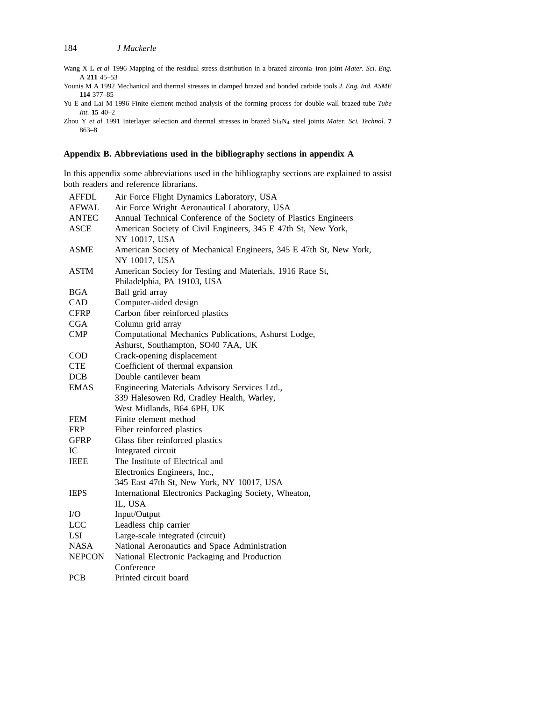- Wang X L *et al* 1996 Mapping of the residual stress distribution in a brazed zirconia–iron joint *Mater. Sci. Eng.* A **211** 45–53
- Younis M A 1992 Mechanical and thermal stresses in clamped brazed and bonded carbide tools *J. Eng. Ind. ASME* **114** 377–85
- Yu E and Lai M 1996 Finite element method analysis of the forming process for double wall brazed tube *Tube Int.* **15** 40–2

Zhou Y et al 1991 Interlayer selection and thermal stresses in brazed Si<sub>3</sub>N<sub>4</sub> steel joints *Mater. Sci. Technol.* **7** 863–8

#### **Appendix B. Abbreviations used in the bibliography sections in appendix A**

In this appendix some abbreviations used in the bibliography sections are explained to assist both readers and reference librarians.

| Air Force Flight Dynamics Laboratory, USA                          |
|--------------------------------------------------------------------|
| Air Force Wright Aeronautical Laboratory, USA                      |
| Annual Technical Conference of the Society of Plastics Engineers   |
| American Society of Civil Engineers, 345 E 47th St, New York,      |
| NY 10017, USA                                                      |
| American Society of Mechanical Engineers, 345 E 47th St, New York, |
| NY 10017, USA                                                      |
| American Society for Testing and Materials, 1916 Race St,          |
| Philadelphia, PA 19103, USA                                        |
| Ball grid array                                                    |
| Computer-aided design                                              |
| Carbon fiber reinforced plastics                                   |
| Column grid array                                                  |
| Computational Mechanics Publications, Ashurst Lodge,               |
| Ashurst, Southampton, SO40 7AA, UK                                 |
| Crack-opening displacement                                         |
| Coefficient of thermal expansion                                   |
| Double cantilever beam                                             |
| Engineering Materials Advisory Services Ltd.,                      |
| 339 Halesowen Rd, Cradley Health, Warley,                          |
| West Midlands, B64 6PH, UK                                         |
| Finite element method                                              |
| Fiber reinforced plastics                                          |
| Glass fiber reinforced plastics                                    |
| Integrated circuit                                                 |
| The Institute of Electrical and                                    |
| Electronics Engineers, Inc.,                                       |
| 345 East 47th St, New York, NY 10017, USA                          |
| International Electronics Packaging Society, Wheaton,              |
| IL, USA                                                            |
| Input/Output                                                       |
| Leadless chip carrier                                              |
| Large-scale integrated (circuit)                                   |
| National Aeronautics and Space Administration                      |
| National Electronic Packaging and Production                       |
| Conference                                                         |
| Printed circuit board                                              |
|                                                                    |